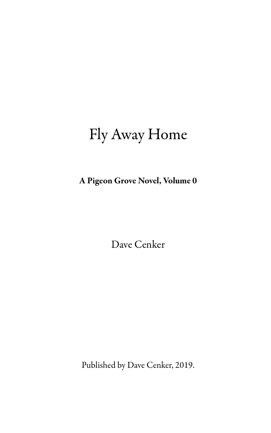# Fly Away Home

A Pigeon Grove Novel, Volume 0

Dave Cenker

Published by Dave Cenker, 2019.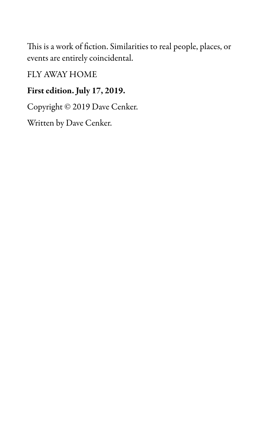This is a work of fiction. Similarities to real people, places, or events are entirely coincidental.

FLY AWAY HOME

# First edition. July 17, 2019.

Copyright © 2019 Dave Cenker.

Written by Dave Cenker.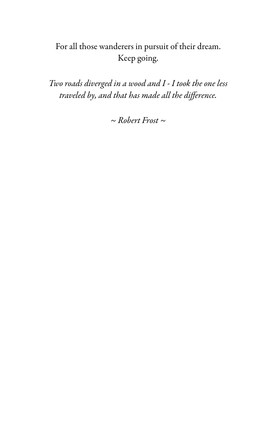# For all those wanderers in pursuit of their dream. Keep going.

Two roads diverged in a wood and I - I took the one less traveled by, and that has made all the difference.

 $\sim$  Robert Frost  $\sim$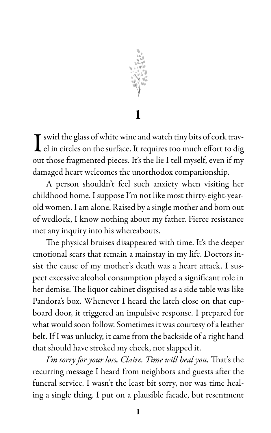

I swirl the glass of white wine and watch tiny bits of cork travel in circles on the surface. It requires too much effort to dig out those fragmented pieces. It's the lie I tell myself, even if my damaged heart welcomes the unorthodox companionship.

A person shouldn't feel such anxiety when visiting her childhood home. I suppose I'm not like most thirty-eight-yearold women. I am alone. Raised by a single mother and born out of wedlock, I know nothing about my father. Fierce resistance met any inquiry into his whereabouts.

The physical bruises disappeared with time. It's the deeper emotional scars that remain a mainstay in my life. Doctors insist the cause of my mother's death was a heart attack. I suspect excessive alcohol consumption played a significant role in her demise. The liquor cabinet disguised as a side table was like Pandora's box. Whenever I heard the latch close on that cupboard door, it triggered an impulsive response. I prepared for what would soon follow. Sometimes it was courtesy of a leather belt. If I was unlucky, it came from the backside of a right hand that should have stroked my cheek, not slapped it.

I'm sorry for your loss, Claire. Time will heal you. That's the recurring message I heard from neighbors and guests after the funeral service. I wasn't the least bit sorry, nor was time healing a single thing. I put on a plausible facade, but resentment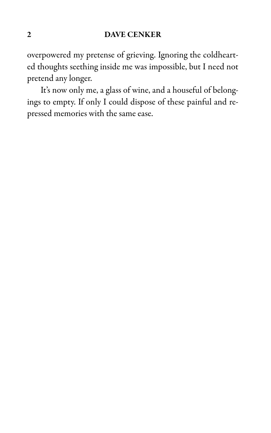overpowered my pretense of grieving. Ignoring the coldhearted thoughts seething inside me was impossible, but I need not pretend any longer.

It's now only me, a glass of wine, and a houseful of belongings to empty. If only I could dispose of these painful and repressed memories with the same ease.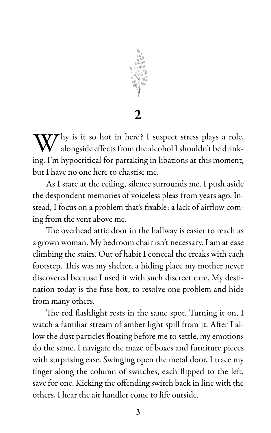

2

Thy is it so hot in here? I suspect stress plays a role, alongside effects from the alcohol I shouldn't be drinking. I'm hypocritical for partaking in libations at this moment, but I have no one here to chastise me.

As I stare at the ceiling, silence surrounds me. I push aside the despondent memories of voiceless pleas from years ago. Instead, I focus on a problem that's fixable: a lack of airflow coming from the vent above me.

The overhead attic door in the hallway is easier to reach as a grown woman. My bedroom chair isn't necessary. I am at ease climbing the stairs. Out of habit I conceal the creaks with each footstep. This was my shelter, a hiding place my mother never discovered because I used it with such discreet care. My destination today is the fuse box, to resolve one problem and hide from many others.

The red flashlight rests in the same spot. Turning it on, I watch a familiar stream of amber light spill from it. After I allow the dust particles floating before me to settle, my emotions do the same. I navigate the maze of boxes and furniture pieces with surprising ease. Swinging open the metal door, I trace my finger along the column of switches, each flipped to the left, save for one. Kicking the offending switch back in line with the others, I hear the air handler come to life outside.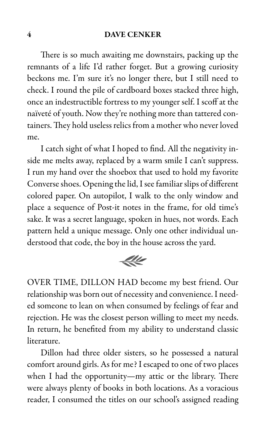There is so much awaiting me downstairs, packing up the remnants of a life I'd rather forget. But a growing curiosity beckons me. I'm sure it's no longer there, but I still need to check. I round the pile of cardboard boxes stacked three high, once an indestructible fortress to my younger self. I scoff at the naïveté of youth. Now they're nothing more than tattered containers. They hold useless relics from a mother who never loved me.

I catch sight of what I hoped to find. All the negativity inside me melts away, replaced by a warm smile I can't suppress. I run my hand over the shoebox that used to hold my favorite Converse shoes. Opening the lid, I see familiar slips of different colored paper. On autopilot, I walk to the only window and place a sequence of Post-it notes in the frame, for old time's sake. It was a secret language, spoken in hues, not words. Each pattern held a unique message. Only one other individual understood that code, the boy in the house across the yard.



OVER TIME, DILLON HAD become my best friend. Our relationship was born out of necessity and convenience. I needed someone to lean on when consumed by feelings of fear and rejection. He was the closest person willing to meet my needs. In return, he benefited from my ability to understand classic literature.

Dillon had three older sisters, so he possessed a natural comfort around girls. As for me? I escaped to one of two places when I had the opportunity—my attic or the library. There were always plenty of books in both locations. As a voracious reader, I consumed the titles on our school's assigned reading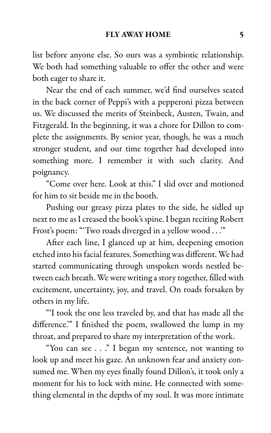list before anyone else. So ours was a symbiotic relationship. We both had something valuable to offer the other and were both eager to share it.

Near the end of each summer, we'd find ourselves seated in the back corner of Peppi's with a pepperoni pizza between us. We discussed the merits of Steinbeck, Austen, Twain, and Fitzgerald. In the beginning, it was a chore for Dillon to complete the assignments. By senior year, though, he was a much stronger student, and our time together had developed into something more. I remember it with such clarity. And poignancy.

"Come over here. Look at this." I slid over and motioned for him to sit beside me in the booth.

Pushing our greasy pizza plates to the side, he sidled up next to me as I creased the book's spine. I began reciting Robert Frost's poem: "'Two roads diverged in a yellow wood . . .'"

After each line, I glanced up at him, deepening emotion etched into his facial features. Something was different. We had started communicating through unspoken words nestled between each breath. We were writing a story together, filled with excitement, uncertainty, joy, and travel. On roads forsaken by others in my life.

"'I took the one less traveled by, and that has made all the difference.'" I finished the poem, swallowed the lump in my throat, and prepared to share my interpretation of the work.

"You can see . . ." I began my sentence, not wanting to look up and meet his gaze. An unknown fear and anxiety consumed me. When my eyes finally found Dillon's, it took only a moment for his to lock with mine. He connected with something elemental in the depths of my soul. It was more intimate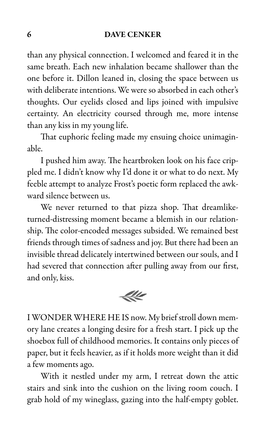than any physical connection. I welcomed and feared it in the same breath. Each new inhalation became shallower than the one before it. Dillon leaned in, closing the space between us with deliberate intentions. We were so absorbed in each other's thoughts. Our eyelids closed and lips joined with impulsive certainty. An electricity coursed through me, more intense than any kiss in my young life.

That euphoric feeling made my ensuing choice unimaginable.

I pushed him away. The heartbroken look on his face crippled me. I didn't know why I'd done it or what to do next. My feeble attempt to analyze Frost's poetic form replaced the awkward silence between us.

We never returned to that pizza shop. That dreamliketurned-distressing moment became a blemish in our relationship. The color-encoded messages subsided. We remained best friends through times of sadness and joy. But there had been an invisible thread delicately intertwined between our souls, and I had severed that connection after pulling away from our first, and only, kiss.



I WONDER WHERE HE IS now. My brief stroll down memory lane creates a longing desire for a fresh start. I pick up the shoebox full of childhood memories. It contains only pieces of paper, but it feels heavier, as if it holds more weight than it did a few moments ago.

With it nestled under my arm, I retreat down the attic stairs and sink into the cushion on the living room couch. I grab hold of my wineglass, gazing into the half-empty goblet.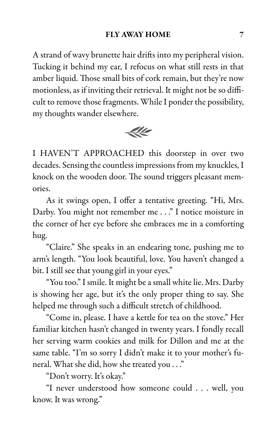A strand of wavy brunette hair drifts into my peripheral vision. Tucking it behind my ear, I refocus on what still rests in that amber liquid. Those small bits of cork remain, but they're now motionless, as if inviting their retrieval. It might not be so difficult to remove those fragments. While I ponder the possibility, my thoughts wander elsewhere.



I HAVEN'T APPROACHED this doorstep in over two decades. Sensing the countless impressions from my knuckles, I knock on the wooden door. The sound triggers pleasant memories.

As it swings open, I offer a tentative greeting. "Hi, Mrs. Darby. You might not remember me . . ." I notice moisture in the corner of her eye before she embraces me in a comforting hug.

"Claire." She speaks in an endearing tone, pushing me to arm's length. "You look beautiful, love. You haven't changed a bit. I still see that young girl in your eyes."

"You too." I smile. It might be a small white lie. Mrs. Darby is showing her age, but it's the only proper thing to say. She helped me through such a difficult stretch of childhood.

"Come in, please. I have a kettle for tea on the stove." Her familiar kitchen hasn't changed in twenty years. I fondly recall her serving warm cookies and milk for Dillon and me at the same table. "I'm so sorry I didn't make it to your mother's funeral. What she did, how she treated you . . ."

"Don't worry. It's okay."

"I never understood how someone could . . . well, you know. It was wrong."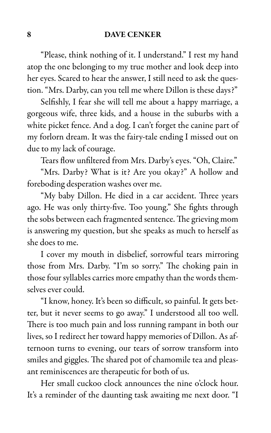"Please, think nothing of it. I understand." I rest my hand atop the one belonging to my true mother and look deep into her eyes. Scared to hear the answer, I still need to ask the question. "Mrs. Darby, can you tell me where Dillon is these days?"

Selfishly, I fear she will tell me about a happy marriage, a gorgeous wife, three kids, and a house in the suburbs with a white picket fence. And a dog. I can't forget the canine part of my forlorn dream. It was the fairy-tale ending I missed out on due to my lack of courage.

Tears flow unfiltered from Mrs. Darby's eyes. "Oh, Claire."

"Mrs. Darby? What is it? Are you okay?" A hollow and foreboding desperation washes over me.

"My baby Dillon. He died in a car accident. Three years ago. He was only thirty-five. Too young." She fights through the sobs between each fragmented sentence. The grieving mom is answering my question, but she speaks as much to herself as she does to me.

I cover my mouth in disbelief, sorrowful tears mirroring those from Mrs. Darby. "I'm so sorry." The choking pain in those four syllables carries more empathy than the words themselves ever could.

"I know, honey. It's been so difficult, so painful. It gets better, but it never seems to go away." I understood all too well. There is too much pain and loss running rampant in both our lives, so I redirect her toward happy memories of Dillon. As afternoon turns to evening, our tears of sorrow transform into smiles and giggles. The shared pot of chamomile tea and pleasant reminiscences are therapeutic for both of us.

Her small cuckoo clock announces the nine o'clock hour. It's a reminder of the daunting task awaiting me next door. "I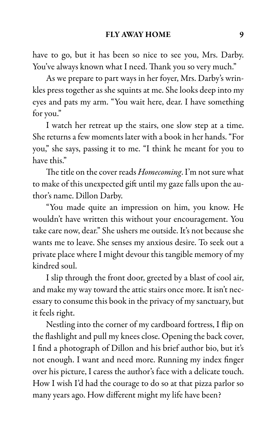have to go, but it has been so nice to see you, Mrs. Darby. You've always known what I need. Thank you so very much."

As we prepare to part ways in her foyer, Mrs. Darby's wrinkles press together as she squints at me. She looks deep into my eyes and pats my arm. "You wait here, dear. I have something for you."

I watch her retreat up the stairs, one slow step at a time. She returns a few moments later with a book in her hands. "For you," she says, passing it to me. "I think he meant for you to have this."

The title on the cover reads Homecoming. I'm not sure what to make of this unexpected gift until my gaze falls upon the author's name. Dillon Darby.

"You made quite an impression on him, you know. He wouldn't have written this without your encouragement. You take care now, dear." She ushers me outside. It's not because she wants me to leave. She senses my anxious desire. To seek out a private place where I might devour this tangible memory of my kindred soul.

I slip through the front door, greeted by a blast of cool air, and make my way toward the attic stairs once more. It isn't necessary to consume this book in the privacy of my sanctuary, but it feels right.

Nestling into the corner of my cardboard fortress, I flip on the flashlight and pull my knees close. Opening the back cover, I find a photograph of Dillon and his brief author bio, but it's not enough. I want and need more. Running my index finger over his picture, I caress the author's face with a delicate touch. How I wish I'd had the courage to do so at that pizza parlor so many years ago. How different might my life have been?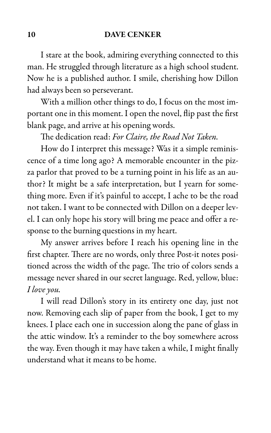I stare at the book, admiring everything connected to this man. He struggled through literature as a high school student. Now he is a published author. I smile, cherishing how Dillon had always been so perseverant.

With a million other things to do, I focus on the most important one in this moment. I open the novel, flip past the first blank page, and arrive at his opening words.

The dedication read: For Claire, the Road Not Taken.

How do I interpret this message? Was it a simple reminiscence of a time long ago? A memorable encounter in the pizza parlor that proved to be a turning point in his life as an author? It might be a safe interpretation, but I yearn for something more. Even if it's painful to accept, I ache to be the road not taken. I want to be connected with Dillon on a deeper level. I can only hope his story will bring me peace and offer a response to the burning questions in my heart.

My answer arrives before I reach his opening line in the first chapter. There are no words, only three Post-it notes positioned across the width of the page. The trio of colors sends a message never shared in our secret language. Red, yellow, blue: I love you.

I will read Dillon's story in its entirety one day, just not now. Removing each slip of paper from the book, I get to my knees. I place each one in succession along the pane of glass in the attic window. It's a reminder to the boy somewhere across the way. Even though it may have taken a while, I might finally understand what it means to be home.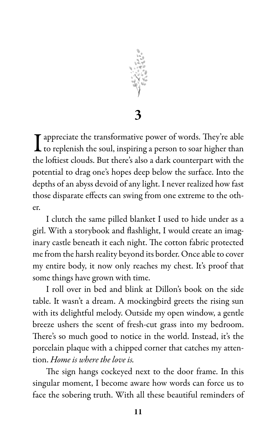

3

I appreciate the transformative power of words. They're able<br>to replenish the soul, inspiring a person to soar higher than to replenish the soul, inspiring a person to soar higher than the loftiest clouds. But there's also a dark counterpart with the potential to drag one's hopes deep below the surface. Into the depths of an abyss devoid of any light. I never realized how fast those disparate effects can swing from one extreme to the other.

I clutch the same pilled blanket I used to hide under as a girl. With a storybook and flashlight, I would create an imaginary castle beneath it each night. The cotton fabric protected me from the harsh reality beyond its border. Once able to cover my entire body, it now only reaches my chest. It's proof that some things have grown with time.

I roll over in bed and blink at Dillon's book on the side table. It wasn't a dream. A mockingbird greets the rising sun with its delightful melody. Outside my open window, a gentle breeze ushers the scent of fresh-cut grass into my bedroom. There's so much good to notice in the world. Instead, it's the porcelain plaque with a chipped corner that catches my attention. Home is where the love is.

The sign hangs cockeyed next to the door frame. In this singular moment, I become aware how words can force us to face the sobering truth. With all these beautiful reminders of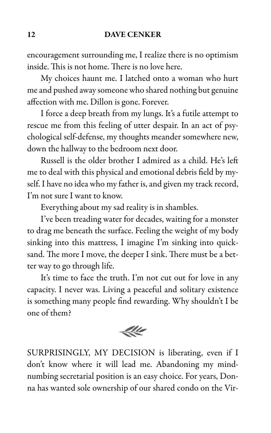encouragement surrounding me, I realize there is no optimism inside. This is not home. There is no love here.

My choices haunt me. I latched onto a woman who hurt me and pushed away someone who shared nothing but genuine affection with me. Dillon is gone. Forever.

I force a deep breath from my lungs. It's a futile attempt to rescue me from this feeling of utter despair. In an act of psychological self-defense, my thoughts meander somewhere new, down the hallway to the bedroom next door.

Russell is the older brother I admired as a child. He's left me to deal with this physical and emotional debris field by myself. I have no idea who my father is, and given my track record, I'm not sure I want to know.

Everything about my sad reality is in shambles.

I've been treading water for decades, waiting for a monster to drag me beneath the surface. Feeling the weight of my body sinking into this mattress, I imagine I'm sinking into quicksand. The more I move, the deeper I sink. There must be a better way to go through life.

It's time to face the truth. I'm not cut out for love in any capacity. I never was. Living a peaceful and solitary existence is something many people find rewarding. Why shouldn't I be one of them?



SURPRISINGLY, MY DECISION is liberating, even if I don't know where it will lead me. Abandoning my mindnumbing secretarial position is an easy choice. For years, Donna has wanted sole ownership of our shared condo on the Vir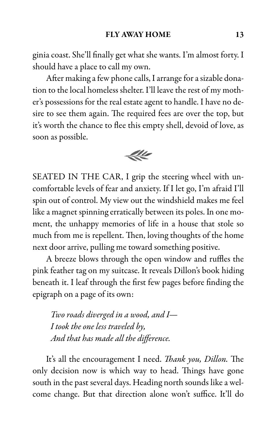ginia coast. She'll finally get what she wants. I'm almost forty. I should have a place to call my own.

After making a few phone calls, I arrange for a sizable donation to the local homeless shelter. I'll leave the rest of my mother's possessions for the real estate agent to handle. I have no desire to see them again. The required fees are over the top, but it's worth the chance to flee this empty shell, devoid of love, as soon as possible.



SEATED IN THE CAR, I grip the steering wheel with uncomfortable levels of fear and anxiety. If I let go, I'm afraid I'll spin out of control. My view out the windshield makes me feel like a magnet spinning erratically between its poles. In one moment, the unhappy memories of life in a house that stole so much from me is repellent. Then, loving thoughts of the home next door arrive, pulling me toward something positive.

A breeze blows through the open window and ruffles the pink feather tag on my suitcase. It reveals Dillon's book hiding beneath it. I leaf through the first few pages before finding the epigraph on a page of its own:

Two roads diverged in a wood, and I— I took the one less traveled by, And that has made all the difference.

It's all the encouragement I need. *Thank you, Dillon*. The only decision now is which way to head. Things have gone south in the past several days. Heading north sounds like a welcome change. But that direction alone won't suffice. It'll do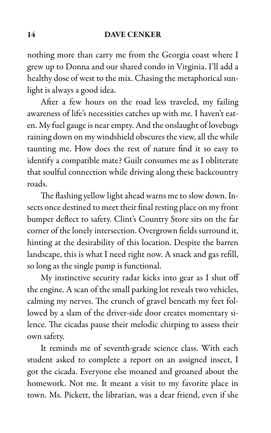nothing more than carry me from the Georgia coast where I grew up to Donna and our shared condo in Virginia. I'll add a healthy dose of west to the mix. Chasing the metaphorical sunlight is always a good idea.

After a few hours on the road less traveled, my failing awareness of life's necessities catches up with me. I haven't eaten. My fuel gauge is near empty. And the onslaught of lovebugs raining down on my windshield obscures the view, all the while taunting me. How does the rest of nature find it so easy to identify a compatible mate? Guilt consumes me as I obliterate that soulful connection while driving along these backcountry roads.

The flashing yellow light ahead warns me to slow down. Insects once destined to meet their final resting place on my front bumper deflect to safety. Clint's Country Store sits on the far corner of the lonely intersection. Overgrown fields surround it, hinting at the desirability of this location. Despite the barren landscape, this is what I need right now. A snack and gas refill, so long as the single pump is functional.

My instinctive security radar kicks into gear as I shut off the engine. A scan of the small parking lot reveals two vehicles, calming my nerves. The crunch of gravel beneath my feet followed by a slam of the driver-side door creates momentary silence. The cicadas pause their melodic chirping to assess their own safety.

It reminds me of seventh-grade science class. With each student asked to complete a report on an assigned insect, I got the cicada. Everyone else moaned and groaned about the homework. Not me. It meant a visit to my favorite place in town. Ms. Pickett, the librarian, was a dear friend, even if she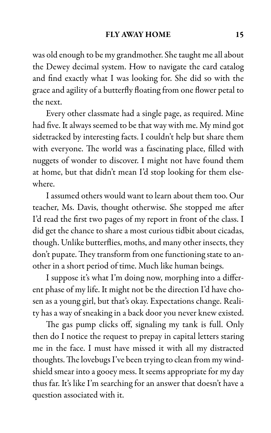was old enough to be my grandmother. She taught me all about the Dewey decimal system. How to navigate the card catalog and find exactly what I was looking for. She did so with the grace and agility of a butterfly floating from one flower petal to the next.

Every other classmate had a single page, as required. Mine had five. It always seemed to be that way with me. My mind got sidetracked by interesting facts. I couldn't help but share them with everyone. The world was a fascinating place, filled with nuggets of wonder to discover. I might not have found them at home, but that didn't mean I'd stop looking for them elsewhere.

I assumed others would want to learn about them too. Our teacher, Ms. Davis, thought otherwise. She stopped me after I'd read the first two pages of my report in front of the class. I did get the chance to share a most curious tidbit about cicadas, though. Unlike butterflies, moths, and many other insects, they don't pupate. They transform from one functioning state to another in a short period of time. Much like human beings.

I suppose it's what I'm doing now, morphing into a different phase of my life. It might not be the direction I'd have chosen as a young girl, but that's okay. Expectations change. Reality has a way of sneaking in a back door you never knew existed.

The gas pump clicks off, signaling my tank is full. Only then do I notice the request to prepay in capital letters staring me in the face. I must have missed it with all my distracted thoughts. The lovebugs I've been trying to clean from my windshield smear into a gooey mess. It seems appropriate for my day thus far. It's like I'm searching for an answer that doesn't have a question associated with it.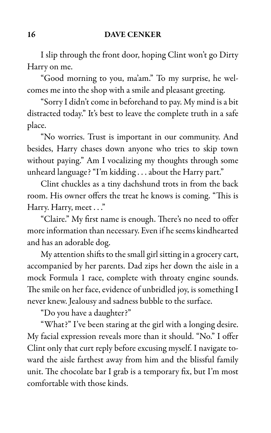I slip through the front door, hoping Clint won't go Dirty Harry on me.

"Good morning to you, ma'am." To my surprise, he welcomes me into the shop with a smile and pleasant greeting.

"Sorry I didn't come in beforehand to pay. My mind is a bit distracted today." It's best to leave the complete truth in a safe place.

"No worries. Trust is important in our community. And besides, Harry chases down anyone who tries to skip town without paying." Am I vocalizing my thoughts through some unheard language? "I'm kidding . . . about the Harry part."

Clint chuckles as a tiny dachshund trots in from the back room. His owner offers the treat he knows is coming. "This is Harry. Harry, meet . . ."

"Claire." My first name is enough. There's no need to offer more information than necessary. Even if he seems kindhearted and has an adorable dog.

My attention shifts to the small girl sitting in a grocery cart, accompanied by her parents. Dad zips her down the aisle in a mock Formula 1 race, complete with throaty engine sounds. The smile on her face, evidence of unbridled joy, is something I never knew. Jealousy and sadness bubble to the surface.

"Do you have a daughter?"

"What?" I've been staring at the girl with a longing desire. My facial expression reveals more than it should. "No." I offer Clint only that curt reply before excusing myself. I navigate toward the aisle farthest away from him and the blissful family unit. The chocolate bar I grab is a temporary fix, but I'm most comfortable with those kinds.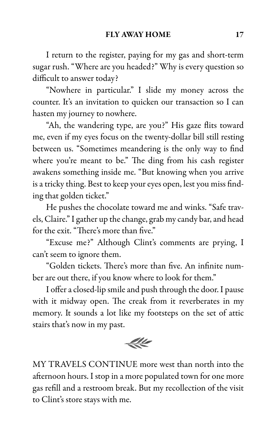I return to the register, paying for my gas and short-term sugar rush. "Where are you headed?" Why is every question so difficult to answer today?

"Nowhere in particular." I slide my money across the counter. It's an invitation to quicken our transaction so I can hasten my journey to nowhere.

"Ah, the wandering type, are you?" His gaze flits toward me, even if my eyes focus on the twenty-dollar bill still resting between us. "Sometimes meandering is the only way to find where you're meant to be." The ding from his cash register awakens something inside me. "But knowing when you arrive is a tricky thing. Best to keep your eyes open, lest you miss finding that golden ticket."

He pushes the chocolate toward me and winks. "Safe travels, Claire." I gather up the change, grab my candy bar, and head for the exit. "There's more than five."

"Excuse me?" Although Clint's comments are prying, I can't seem to ignore them.

"Golden tickets. There's more than five. An infinite number are out there, if you know where to look for them."

I offer a closed-lip smile and push through the door. I pause with it midway open. The creak from it reverberates in my memory. It sounds a lot like my footsteps on the set of attic stairs that's now in my past.



MY TRAVELS CONTINUE more west than north into the afternoon hours. I stop in a more populated town for one more gas refill and a restroom break. But my recollection of the visit to Clint's store stays with me.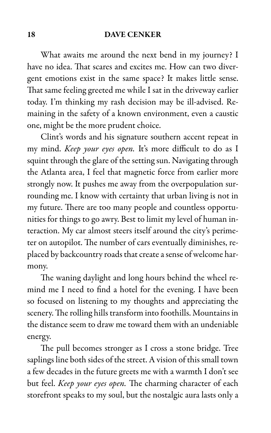What awaits me around the next bend in my journey? I have no idea. That scares and excites me. How can two divergent emotions exist in the same space? It makes little sense. That same feeling greeted me while I sat in the driveway earlier today. I'm thinking my rash decision may be ill-advised. Remaining in the safety of a known environment, even a caustic one, might be the more prudent choice.

Clint's words and his signature southern accent repeat in my mind. Keep your eyes open. It's more difficult to do as I squint through the glare of the setting sun. Navigating through the Atlanta area, I feel that magnetic force from earlier more strongly now. It pushes me away from the overpopulation surrounding me. I know with certainty that urban living is not in my future. There are too many people and countless opportunities for things to go awry. Best to limit my level of human interaction. My car almost steers itself around the city's perimeter on autopilot. The number of cars eventually diminishes, replaced by backcountry roads that create a sense of welcome harmony.

The waning daylight and long hours behind the wheel remind me I need to find a hotel for the evening. I have been so focused on listening to my thoughts and appreciating the scenery. The rolling hills transform into foothills. Mountains in the distance seem to draw me toward them with an undeniable energy.

The pull becomes stronger as I cross a stone bridge. Tree saplings line both sides of the street. A vision of this small town a few decades in the future greets me with a warmth I don't see but feel. Keep your eyes open. The charming character of each storefront speaks to my soul, but the nostalgic aura lasts only a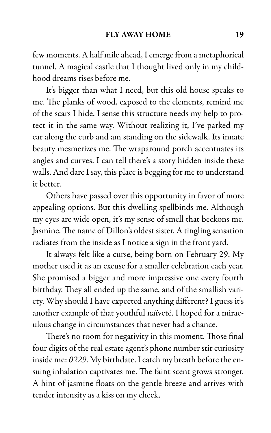few moments. A half mile ahead, I emerge from a metaphorical tunnel. A magical castle that I thought lived only in my childhood dreams rises before me.

It's bigger than what I need, but this old house speaks to me. The planks of wood, exposed to the elements, remind me of the scars I hide. I sense this structure needs my help to protect it in the same way. Without realizing it, I've parked my car along the curb and am standing on the sidewalk. Its innate beauty mesmerizes me. The wraparound porch accentuates its angles and curves. I can tell there's a story hidden inside these walls. And dare I say, this place is begging for me to understand it better.

Others have passed over this opportunity in favor of more appealing options. But this dwelling spellbinds me. Although my eyes are wide open, it's my sense of smell that beckons me. Jasmine. The name of Dillon's oldest sister. A tingling sensation radiates from the inside as I notice a sign in the front yard.

It always felt like a curse, being born on February 29. My mother used it as an excuse for a smaller celebration each year. She promised a bigger and more impressive one every fourth birthday. They all ended up the same, and of the smallish variety. Why should I have expected anything different? I guess it's another example of that youthful naïveté. I hoped for a miraculous change in circumstances that never had a chance.

There's no room for negativity in this moment. Those final four digits of the real estate agent's phone number stir curiosity inside me: 0229. My birthdate. I catch my breath before the ensuing inhalation captivates me. The faint scent grows stronger. A hint of jasmine floats on the gentle breeze and arrives with tender intensity as a kiss on my cheek.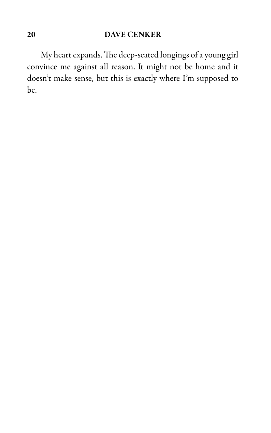My heart expands. The deep-seated longings of a young girl convince me against all reason. It might not be home and it doesn't make sense, but this is exactly where I'm supposed to be.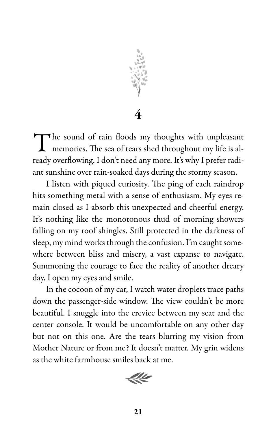

4

The sound of rain floods my thoughts with unpleasant memories. The sea of tears shed throughout my life is almemories. The sea of tears shed throughout my life is already overflowing. I don't need any more. It's why I prefer radiant sunshine over rain-soaked days during the stormy season.

I listen with piqued curiosity. The ping of each raindrop hits something metal with a sense of enthusiasm. My eyes remain closed as I absorb this unexpected and cheerful energy. It's nothing like the monotonous thud of morning showers falling on my roof shingles. Still protected in the darkness of sleep, my mind works through the confusion. I'm caught somewhere between bliss and misery, a vast expanse to navigate. Summoning the courage to face the reality of another dreary day, I open my eyes and smile.

In the cocoon of my car, I watch water droplets trace paths down the passenger-side window. The view couldn't be more beautiful. I snuggle into the crevice between my seat and the center console. It would be uncomfortable on any other day but not on this one. Are the tears blurring my vision from Mother Nature or from me? It doesn't matter. My grin widens as the white farmhouse smiles back at me.

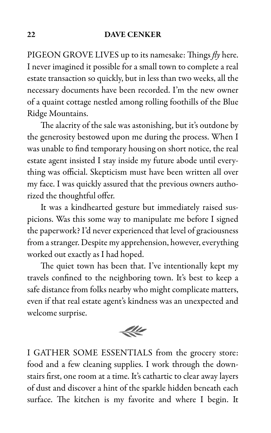PIGEON GROVE LIVES up to its namesake: Things  $fly$  here. I never imagined it possible for a small town to complete a real estate transaction so quickly, but in less than two weeks, all the necessary documents have been recorded. I'm the new owner of a quaint cottage nestled among rolling foothills of the Blue Ridge Mountains.

The alacrity of the sale was astonishing, but it's outdone by the generosity bestowed upon me during the process. When I was unable to find temporary housing on short notice, the real estate agent insisted I stay inside my future abode until everything was official. Skepticism must have been written all over my face. I was quickly assured that the previous owners authorized the thoughtful offer.

It was a kindhearted gesture but immediately raised suspicions. Was this some way to manipulate me before I signed the paperwork? I'd never experienced that level of graciousness from a stranger. Despite my apprehension, however, everything worked out exactly as I had hoped.

The quiet town has been that. I've intentionally kept my travels confined to the neighboring town. It's best to keep a safe distance from folks nearby who might complicate matters, even if that real estate agent's kindness was an unexpected and welcome surprise.



I GATHER SOME ESSENTIALS from the grocery store: food and a few cleaning supplies. I work through the downstairs first, one room at a time. It's cathartic to clear away layers of dust and discover a hint of the sparkle hidden beneath each surface. The kitchen is my favorite and where I begin. It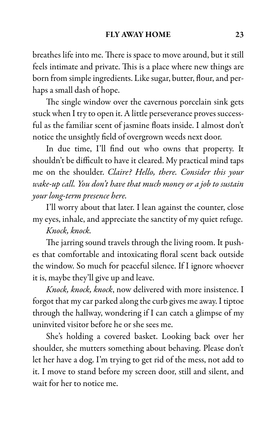breathes life into me. There is space to move around, but it still feels intimate and private. This is a place where new things are born from simple ingredients. Like sugar, butter, flour, and perhaps a small dash of hope.

The single window over the cavernous porcelain sink gets stuck when I try to open it. A little perseverance proves successful as the familiar scent of jasmine floats inside. I almost don't notice the unsightly field of overgrown weeds next door.

In due time, I'll find out who owns that property. It shouldn't be difficult to have it cleared. My practical mind taps me on the shoulder. Claire? Hello, there. Consider this your wake-up call. You don't have that much money or a job to sustain your long-term presence here.

I'll worry about that later. I lean against the counter, close my eyes, inhale, and appreciate the sanctity of my quiet refuge.

## Knock, knock.

The jarring sound travels through the living room. It pushes that comfortable and intoxicating floral scent back outside the window. So much for peaceful silence. If I ignore whoever it is, maybe they'll give up and leave.

Knock, knock, knock, now delivered with more insistence. I forgot that my car parked along the curb gives me away. I tiptoe through the hallway, wondering if I can catch a glimpse of my uninvited visitor before he or she sees me.

She's holding a covered basket. Looking back over her shoulder, she mutters something about behaving. Please don't let her have a dog. I'm trying to get rid of the mess, not add to it. I move to stand before my screen door, still and silent, and wait for her to notice me.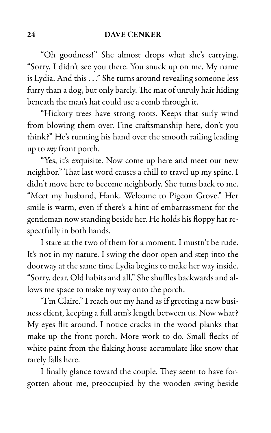"Oh goodness!" She almost drops what she's carrying. "Sorry, I didn't see you there. You snuck up on me. My name is Lydia. And this . . ." She turns around revealing someone less furry than a dog, but only barely. The mat of unruly hair hiding beneath the man's hat could use a comb through it.

"Hickory trees have strong roots. Keeps that surly wind from blowing them over. Fine craftsmanship here, don't you think?" He's running his hand over the smooth railing leading up to *my* front porch.

"Yes, it's exquisite. Now come up here and meet our new neighbor." That last word causes a chill to travel up my spine. I didn't move here to become neighborly. She turns back to me. "Meet my husband, Hank. Welcome to Pigeon Grove." Her smile is warm, even if there's a hint of embarrassment for the gentleman now standing beside her. He holds his floppy hat respectfully in both hands.

I stare at the two of them for a moment. I mustn't be rude. It's not in my nature. I swing the door open and step into the doorway at the same time Lydia begins to make her way inside. "Sorry, dear. Old habits and all." She shuffles backwards and allows me space to make my way onto the porch.

"I'm Claire." I reach out my hand as if greeting a new business client, keeping a full arm's length between us. Now what? My eyes flit around. I notice cracks in the wood planks that make up the front porch. More work to do. Small flecks of white paint from the flaking house accumulate like snow that rarely falls here.

I finally glance toward the couple. They seem to have forgotten about me, preoccupied by the wooden swing beside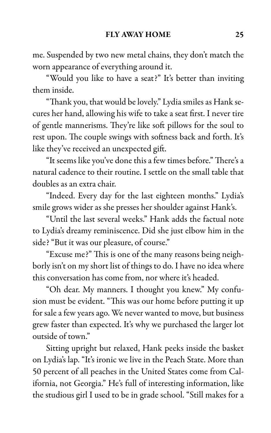me. Suspended by two new metal chains, they don't match the worn appearance of everything around it.

"Would you like to have a seat?" It's better than inviting them inside.

"Thank you, that would be lovely." Lydia smiles as Hank secures her hand, allowing his wife to take a seat first. I never tire of gentle mannerisms. They're like soft pillows for the soul to rest upon. The couple swings with softness back and forth. It's like they've received an unexpected gift.

"It seems like you've done this a few times before." There's a natural cadence to their routine. I settle on the small table that doubles as an extra chair.

"Indeed. Every day for the last eighteen months." Lydia's smile grows wider as she presses her shoulder against Hank's.

"Until the last several weeks." Hank adds the factual note to Lydia's dreamy reminiscence. Did she just elbow him in the side? "But it was our pleasure, of course."

"Excuse me?" This is one of the many reasons being neighborly isn't on my short list of things to do. I have no idea where this conversation has come from, nor where it's headed.

"Oh dear. My manners. I thought you knew." My confusion must be evident. "This was our home before putting it up for sale a few years ago. We never wanted to move, but business grew faster than expected. It's why we purchased the larger lot outside of town."

Sitting upright but relaxed, Hank peeks inside the basket on Lydia's lap. "It's ironic we live in the Peach State. More than 50 percent of all peaches in the United States come from California, not Georgia." He's full of interesting information, like the studious girl I used to be in grade school. "Still makes for a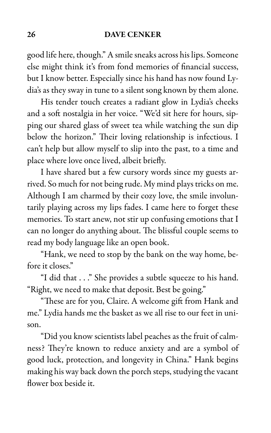good life here, though." A smile sneaks across his lips. Someone else might think it's from fond memories of financial success, but I know better. Especially since his hand has now found Lydia's as they sway in tune to a silent song known by them alone.

His tender touch creates a radiant glow in Lydia's cheeks and a soft nostalgia in her voice. "We'd sit here for hours, sipping our shared glass of sweet tea while watching the sun dip below the horizon." Their loving relationship is infectious. I can't help but allow myself to slip into the past, to a time and place where love once lived, albeit briefly.

I have shared but a few cursory words since my guests arrived. So much for not being rude. My mind plays tricks on me. Although I am charmed by their cozy love, the smile involuntarily playing across my lips fades. I came here to forget these memories. To start anew, not stir up confusing emotions that I can no longer do anything about. The blissful couple seems to read my body language like an open book.

"Hank, we need to stop by the bank on the way home, before it closes."

"I did that . . ." She provides a subtle squeeze to his hand. "Right, we need to make that deposit. Best be going."

"These are for you, Claire. A welcome gift from Hank and me." Lydia hands me the basket as we all rise to our feet in unison.

"Did you know scientists label peaches as the fruit of calmness? They're known to reduce anxiety and are a symbol of good luck, protection, and longevity in China." Hank begins making his way back down the porch steps, studying the vacant flower box beside it.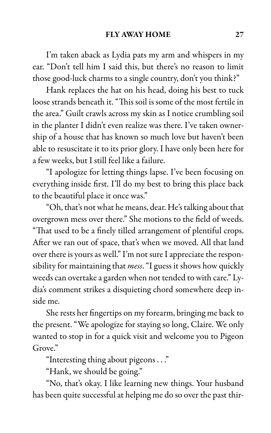I'm taken aback as Lydia pats my arm and whispers in my ear. "Don't tell him I said this, but there's no reason to limit those good-luck charms to a single country, don't you think?"

Hank replaces the hat on his head, doing his best to tuck loose strands beneath it. "This soil is some of the most fertile in the area." Guilt crawls across my skin as I notice crumbling soil in the planter I didn't even realize was there. I've taken ownership of a house that has known so much love but haven't been able to resuscitate it to its prior glory. I have only been here for a few weeks, but I still feel like a failure.

"I apologize for letting things lapse. I've been focusing on everything inside first. I'll do my best to bring this place back to the beautiful place it once was."

"Oh, that's not what he means, dear. He's talking about that overgrown mess over there." She motions to the field of weeds. "That used to be a finely tilled arrangement of plentiful crops. After we ran out of space, that's when we moved. All that land over there is yours as well." I'm not sure I appreciate the responsibility for maintaining that *mess*. "I guess it shows how quickly weeds can overtake a garden when not tended to with care." Lydia's comment strikes a disquieting chord somewhere deep inside me.

She rests her fingertips on my forearm, bringing me back to the present. "We apologize for staying so long, Claire. We only wanted to stop in for a quick visit and welcome you to Pigeon Grove."

"Interesting thing about pigeons . . ."

"Hank, we should be going."

"No, that's okay. I like learning new things. Your husband has been quite successful at helping me do so over the past thir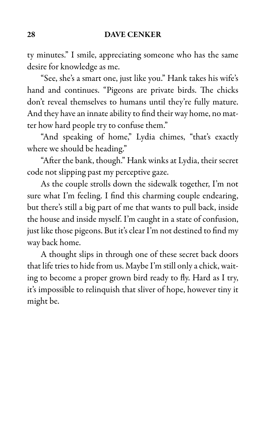ty minutes." I smile, appreciating someone who has the same desire for knowledge as me.

"See, she's a smart one, just like you." Hank takes his wife's hand and continues. "Pigeons are private birds. The chicks don't reveal themselves to humans until they're fully mature. And they have an innate ability to find their way home, no matter how hard people try to confuse them."

"And speaking of home," Lydia chimes, "that's exactly where we should be heading."

"After the bank, though." Hank winks at Lydia, their secret code not slipping past my perceptive gaze.

As the couple strolls down the sidewalk together, I'm not sure what I'm feeling. I find this charming couple endearing, but there's still a big part of me that wants to pull back, inside the house and inside myself. I'm caught in a state of confusion, just like those pigeons. But it's clear I'm not destined to find my way back home.

A thought slips in through one of these secret back doors that life tries to hide from us. Maybe I'm still only a chick, waiting to become a proper grown bird ready to fly. Hard as I try, it's impossible to relinquish that sliver of hope, however tiny it might be.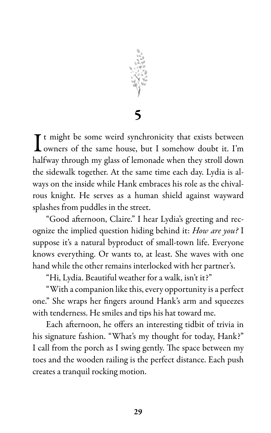

5

It might be some weird synchronicity that exists between<br>owners of the same house, but I somehow doubt it. I'm owners of the same house, but I somehow doubt it. I'm halfway through my glass of lemonade when they stroll down the sidewalk together. At the same time each day. Lydia is always on the inside while Hank embraces his role as the chivalrous knight. He serves as a human shield against wayward splashes from puddles in the street.

"Good afternoon, Claire." I hear Lydia's greeting and recognize the implied question hiding behind it: How are you? I suppose it's a natural byproduct of small-town life. Everyone knows everything. Or wants to, at least. She waves with one hand while the other remains interlocked with her partner's.

"Hi, Lydia. Beautiful weather for a walk, isn't it?"

"With a companion like this, every opportunity is a perfect one." She wraps her fingers around Hank's arm and squeezes with tenderness. He smiles and tips his hat toward me.

Each afternoon, he offers an interesting tidbit of trivia in his signature fashion. "What's my thought for today, Hank?" I call from the porch as I swing gently. The space between my toes and the wooden railing is the perfect distance. Each push creates a tranquil rocking motion.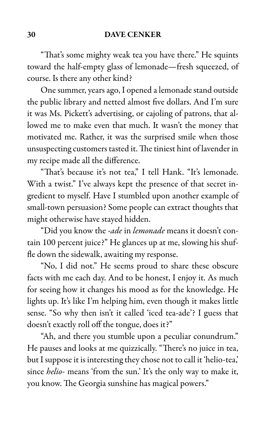"That's some mighty weak tea you have there." He squints toward the half-empty glass of lemonade—fresh squeezed, of course. Is there any other kind?

One summer, years ago, I opened a lemonade stand outside the public library and netted almost five dollars. And I'm sure it was Ms. Pickett's advertising, or cajoling of patrons, that allowed me to make even that much. It wasn't the money that motivated me. Rather, it was the surprised smile when those unsuspecting customers tasted it. The tiniest hint of lavender in my recipe made all the difference.

"That's because it's not tea," I tell Hank. "It's lemonade. With a twist." I've always kept the presence of that secret ingredient to myself. Have I stumbled upon another example of small-town persuasion? Some people can extract thoughts that might otherwise have stayed hidden.

"Did you know the -ade in lemonade means it doesn't contain 100 percent juice?" He glances up at me, slowing his shuffle down the sidewalk, awaiting my response.

"No, I did not." He seems proud to share these obscure facts with me each day. And to be honest, I enjoy it. As much for seeing how it changes his mood as for the knowledge. He lights up. It's like I'm helping him, even though it makes little sense. "So why then isn't it called 'iced tea-ade'? I guess that doesn't exactly roll off the tongue, does it?"

"Ah, and there you stumble upon a peculiar conundrum." He pauses and looks at me quizzically. "There's no juice in tea, but I suppose it is interesting they chose not to call it 'helio-tea,' since *helio-* means 'from the sun.' It's the only way to make it, you know. The Georgia sunshine has magical powers."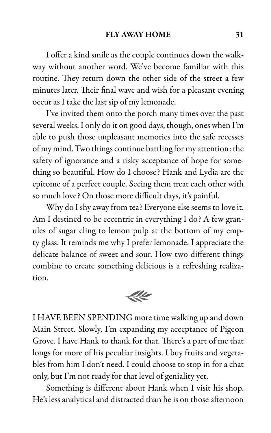I offer a kind smile as the couple continues down the walkway without another word. We've become familiar with this routine. They return down the other side of the street a few minutes later. Their final wave and wish for a pleasant evening occur as I take the last sip of my lemonade.

I've invited them onto the porch many times over the past several weeks. I only do it on good days, though, ones when I'm able to push those unpleasant memories into the safe recesses of my mind. Two things continue battling for my attention: the safety of ignorance and a risky acceptance of hope for something so beautiful. How do I choose? Hank and Lydia are the epitome of a perfect couple. Seeing them treat each other with so much love? On those more difficult days, it's painful.

Why do I shy away from tea? Everyone else seems to love it. Am I destined to be eccentric in everything I do? A few granules of sugar cling to lemon pulp at the bottom of my empty glass. It reminds me why I prefer lemonade. I appreciate the delicate balance of sweet and sour. How two different things combine to create something delicious is a refreshing realization.



I HAVE BEEN SPENDING more time walking up and down Main Street. Slowly, I'm expanding my acceptance of Pigeon Grove. I have Hank to thank for that. There's a part of me that longs for more of his peculiar insights. I buy fruits and vegetables from him I don't need. I could choose to stop in for a chat only, but I'm not ready for that level of geniality yet.

Something is different about Hank when I visit his shop. He's less analytical and distracted than he is on those afternoon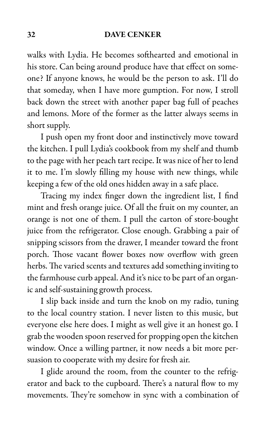walks with Lydia. He becomes softhearted and emotional in his store. Can being around produce have that effect on someone? If anyone knows, he would be the person to ask. I'll do that someday, when I have more gumption. For now, I stroll back down the street with another paper bag full of peaches and lemons. More of the former as the latter always seems in short supply.

I push open my front door and instinctively move toward the kitchen. I pull Lydia's cookbook from my shelf and thumb to the page with her peach tart recipe. It was nice of her to lend it to me. I'm slowly filling my house with new things, while keeping a few of the old ones hidden away in a safe place.

Tracing my index finger down the ingredient list, I find mint and fresh orange juice. Of all the fruit on my counter, an orange is not one of them. I pull the carton of store-bought juice from the refrigerator. Close enough. Grabbing a pair of snipping scissors from the drawer, I meander toward the front porch. Those vacant flower boxes now overflow with green herbs. The varied scents and textures add something inviting to the farmhouse curb appeal. And it's nice to be part of an organic and self-sustaining growth process.

I slip back inside and turn the knob on my radio, tuning to the local country station. I never listen to this music, but everyone else here does. I might as well give it an honest go. I grab the wooden spoon reserved for propping open the kitchen window. Once a willing partner, it now needs a bit more persuasion to cooperate with my desire for fresh air.

I glide around the room, from the counter to the refrigerator and back to the cupboard. There's a natural flow to my movements. They're somehow in sync with a combination of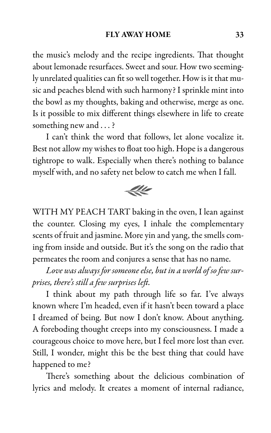the music's melody and the recipe ingredients. That thought about lemonade resurfaces. Sweet and sour. How two seemingly unrelated qualities can fit so well together. How is it that music and peaches blend with such harmony? I sprinkle mint into the bowl as my thoughts, baking and otherwise, merge as one. Is it possible to mix different things elsewhere in life to create something new and . . . ?

I can't think the word that follows, let alone vocalize it. Best not allow my wishes to float too high. Hope is a dangerous tightrope to walk. Especially when there's nothing to balance myself with, and no safety net below to catch me when I fall.



WITH MY PEACH TART baking in the oven, I lean against the counter. Closing my eyes, I inhale the complementary scents of fruit and jasmine. More yin and yang, the smells coming from inside and outside. But it's the song on the radio that permeates the room and conjures a sense that has no name.

Love was always for someone else, but in a world of so few surprises, there's still a few surprises left.

I think about my path through life so far. I've always known where I'm headed, even if it hasn't been toward a place I dreamed of being. But now I don't know. About anything. A foreboding thought creeps into my consciousness. I made a courageous choice to move here, but I feel more lost than ever. Still, I wonder, might this be the best thing that could have happened to me?

There's something about the delicious combination of lyrics and melody. It creates a moment of internal radiance,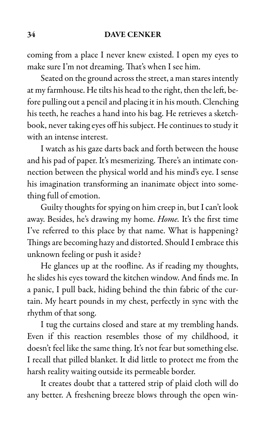coming from a place I never knew existed. I open my eyes to make sure I'm not dreaming. That's when I see him.

Seated on the ground across the street, a man stares intently at my farmhouse. He tilts his head to the right, then the left, before pulling out a pencil and placing it in his mouth. Clenching his teeth, he reaches a hand into his bag. He retrieves a sketchbook, never taking eyes off his subject. He continues to study it with an intense interest.

I watch as his gaze darts back and forth between the house and his pad of paper. It's mesmerizing. There's an intimate connection between the physical world and his mind's eye. I sense his imagination transforming an inanimate object into something full of emotion.

Guilty thoughts for spying on him creep in, but I can't look away. Besides, he's drawing my home. Home. It's the first time I've referred to this place by that name. What is happening? Things are becoming hazy and distorted. Should I embrace this unknown feeling or push it aside?

He glances up at the roofline. As if reading my thoughts, he slides his eyes toward the kitchen window. And finds me. In a panic, I pull back, hiding behind the thin fabric of the curtain. My heart pounds in my chest, perfectly in sync with the rhythm of that song.

I tug the curtains closed and stare at my trembling hands. Even if this reaction resembles those of my childhood, it doesn't feel like the same thing. It's not fear but something else. I recall that pilled blanket. It did little to protect me from the harsh reality waiting outside its permeable border.

It creates doubt that a tattered strip of plaid cloth will do any better. A freshening breeze blows through the open win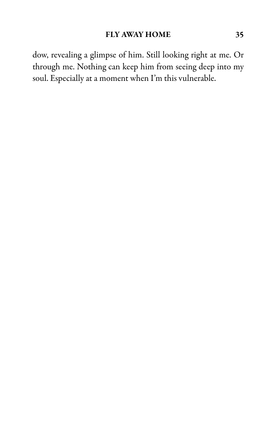dow, revealing a glimpse of him. Still looking right at me. Or through me. Nothing can keep him from seeing deep into my soul. Especially at a moment when I'm this vulnerable.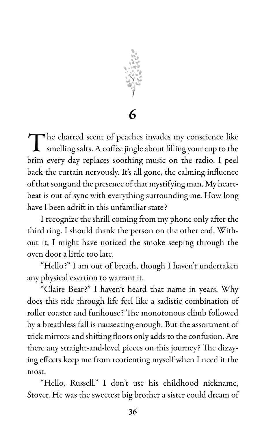

The charred scent of peaches invades my conscience like<br>smelling salts. A coffee jingle about filling your cup to the smelling salts. A coffee jingle about filling your cup to the brim every day replaces soothing music on the radio. I peel back the curtain nervously. It's all gone, the calming influence of that song and the presence of that mystifying man. My heartbeat is out of sync with everything surrounding me. How long have I been adrift in this unfamiliar state?

I recognize the shrill coming from my phone only after the third ring. I should thank the person on the other end. Without it, I might have noticed the smoke seeping through the oven door a little too late.

"Hello?" I am out of breath, though I haven't undertaken any physical exertion to warrant it.

"Claire Bear?" I haven't heard that name in years. Why does this ride through life feel like a sadistic combination of roller coaster and funhouse? The monotonous climb followed by a breathless fall is nauseating enough. But the assortment of trick mirrors and shifting floors only adds to the confusion. Are there any straight-and-level pieces on this journey? The dizzying effects keep me from reorienting myself when I need it the most.

"Hello, Russell." I don't use his childhood nickname, Stover. He was the sweetest big brother a sister could dream of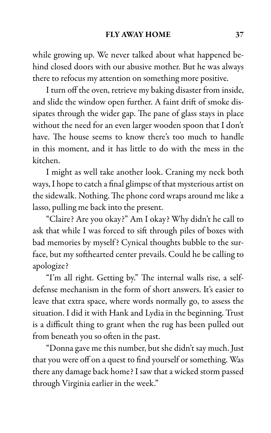while growing up. We never talked about what happened behind closed doors with our abusive mother. But he was always there to refocus my attention on something more positive.

I turn off the oven, retrieve my baking disaster from inside, and slide the window open further. A faint drift of smoke dissipates through the wider gap. The pane of glass stays in place without the need for an even larger wooden spoon that I don't have. The house seems to know there's too much to handle in this moment, and it has little to do with the mess in the kitchen.

I might as well take another look. Craning my neck both ways, I hope to catch a final glimpse of that mysterious artist on the sidewalk. Nothing. The phone cord wraps around me like a lasso, pulling me back into the present.

"Claire? Are you okay?" Am I okay? Why didn't he call to ask that while I was forced to sift through piles of boxes with bad memories by myself? Cynical thoughts bubble to the surface, but my softhearted center prevails. Could he be calling to apologize?

"I'm all right. Getting by." The internal walls rise, a selfdefense mechanism in the form of short answers. It's easier to leave that extra space, where words normally go, to assess the situation. I did it with Hank and Lydia in the beginning. Trust is a difficult thing to grant when the rug has been pulled out from beneath you so often in the past.

"Donna gave me this number, but she didn't say much. Just that you were off on a quest to find yourself or something. Was there any damage back home? I saw that a wicked storm passed through Virginia earlier in the week."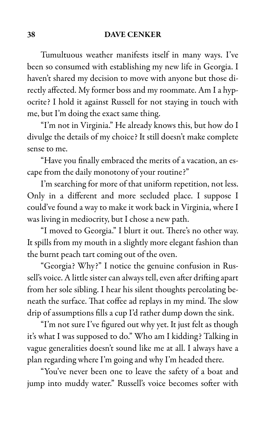Tumultuous weather manifests itself in many ways. I've been so consumed with establishing my new life in Georgia. I haven't shared my decision to move with anyone but those directly affected. My former boss and my roommate. Am I a hypocrite? I hold it against Russell for not staying in touch with me, but I'm doing the exact same thing.

"I'm not in Virginia." He already knows this, but how do I divulge the details of my choice? It still doesn't make complete sense to me.

"Have you finally embraced the merits of a vacation, an escape from the daily monotony of your routine?"

I'm searching for more of that uniform repetition, not less. Only in a different and more secluded place. I suppose I could've found a way to make it work back in Virginia, where I was living in mediocrity, but I chose a new path.

"I moved to Georgia." I blurt it out. There's no other way. It spills from my mouth in a slightly more elegant fashion than the burnt peach tart coming out of the oven.

"Georgia? Why?" I notice the genuine confusion in Russell's voice. A little sister can always tell, even after drifting apart from her sole sibling. I hear his silent thoughts percolating beneath the surface. That coffee ad replays in my mind. The slow drip of assumptions fills a cup I'd rather dump down the sink.

"I'm not sure I've figured out why yet. It just felt as though it's what I was supposed to do." Who am I kidding? Talking in vague generalities doesn't sound like me at all. I always have a plan regarding where I'm going and why I'm headed there.

"You've never been one to leave the safety of a boat and jump into muddy water." Russell's voice becomes softer with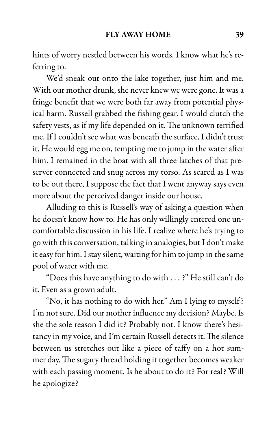hints of worry nestled between his words. I know what he's referring to.

We'd sneak out onto the lake together, just him and me. With our mother drunk, she never knew we were gone. It was a fringe benefit that we were both far away from potential physical harm. Russell grabbed the fishing gear. I would clutch the safety vests, as if my life depended on it. The unknown terrified me. If I couldn't see what was beneath the surface, I didn't trust it. He would egg me on, tempting me to jump in the water after him. I remained in the boat with all three latches of that preserver connected and snug across my torso. As scared as I was to be out there, I suppose the fact that I went anyway says even more about the perceived danger inside our house.

Alluding to this is Russell's way of asking a question when he doesn't know how to. He has only willingly entered one uncomfortable discussion in his life. I realize where he's trying to go with this conversation, talking in analogies, but I don't make it easy for him. I stay silent, waiting for him to jump in the same pool of water with me.

"Does this have anything to do with . . . ?" He still can't do it. Even as a grown adult.

"No, it has nothing to do with her." Am I lying to myself? I'm not sure. Did our mother influence my decision? Maybe. Is she the sole reason I did it? Probably not. I know there's hesitancy in my voice, and I'm certain Russell detects it. The silence between us stretches out like a piece of taffy on a hot summer day. The sugary thread holding it together becomes weaker with each passing moment. Is he about to do it? For real? Will he apologize?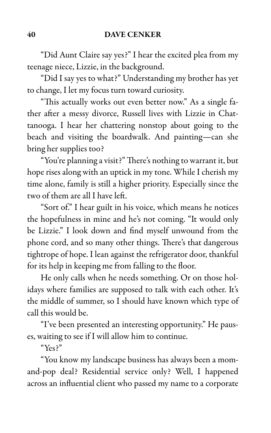"Did Aunt Claire say yes?" I hear the excited plea from my teenage niece, Lizzie, in the background.

"Did I say yes to what?" Understanding my brother has yet to change, I let my focus turn toward curiosity.

"This actually works out even better now." As a single father after a messy divorce, Russell lives with Lizzie in Chattanooga. I hear her chattering nonstop about going to the beach and visiting the boardwalk. And painting—can she bring her supplies too?

"You're planning a visit?" There's nothing to warrant it, but hope rises along with an uptick in my tone. While I cherish my time alone, family is still a higher priority. Especially since the two of them are all I have left.

"Sort of." I hear guilt in his voice, which means he notices the hopefulness in mine and he's not coming. "It would only be Lizzie." I look down and find myself unwound from the phone cord, and so many other things. There's that dangerous tightrope of hope. I lean against the refrigerator door, thankful for its help in keeping me from falling to the floor.

He only calls when he needs something. Or on those holidays where families are supposed to talk with each other. It's the middle of summer, so I should have known which type of call this would be.

"I've been presented an interesting opportunity." He pauses, waiting to see if I will allow him to continue.

"Yes?"

"You know my landscape business has always been a momand-pop deal? Residential service only? Well, I happened across an influential client who passed my name to a corporate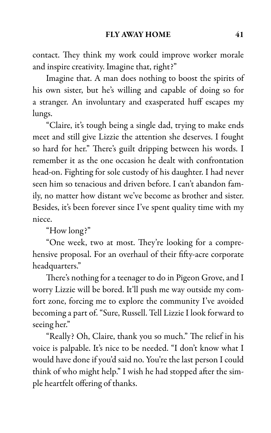contact. They think my work could improve worker morale and inspire creativity. Imagine that, right?"

Imagine that. A man does nothing to boost the spirits of his own sister, but he's willing and capable of doing so for a stranger. An involuntary and exasperated huff escapes my lungs.

"Claire, it's tough being a single dad, trying to make ends meet and still give Lizzie the attention she deserves. I fought so hard for her." There's guilt dripping between his words. I remember it as the one occasion he dealt with confrontation head-on. Fighting for sole custody of his daughter. I had never seen him so tenacious and driven before. I can't abandon family, no matter how distant we've become as brother and sister. Besides, it's been forever since I've spent quality time with my niece.

"How long?"

"One week, two at most. They're looking for a comprehensive proposal. For an overhaul of their fifty-acre corporate headquarters."

There's nothing for a teenager to do in Pigeon Grove, and I worry Lizzie will be bored. It'll push me way outside my comfort zone, forcing me to explore the community I've avoided becoming a part of. "Sure, Russell. Tell Lizzie I look forward to seeing her."

"Really? Oh, Claire, thank you so much." The relief in his voice is palpable. It's nice to be needed. "I don't know what I would have done if you'd said no. You're the last person I could think of who might help." I wish he had stopped after the simple heartfelt offering of thanks.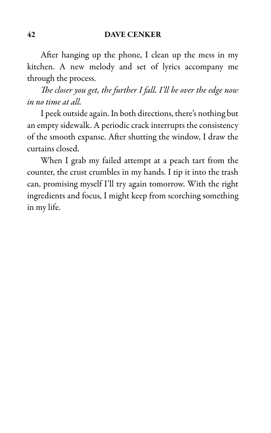After hanging up the phone, I clean up the mess in my kitchen. A new melody and set of lyrics accompany me through the process.

The closer you get, the further I fall. I'll be over the edge now in no time at all.

I peek outside again. In both directions, there's nothing but an empty sidewalk. A periodic crack interrupts the consistency of the smooth expanse. After shutting the window, I draw the curtains closed.

When I grab my failed attempt at a peach tart from the counter, the crust crumbles in my hands. I tip it into the trash can, promising myself I'll try again tomorrow. With the right ingredients and focus, I might keep from scorching something in my life.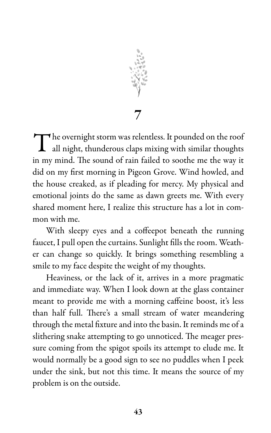

The overnight storm was relentless. It pounded on the roof<br>all night, thunderous claps mixing with similar thoughts all night, thunderous claps mixing with similar thoughts in my mind. The sound of rain failed to soothe me the way it did on my first morning in Pigeon Grove. Wind howled, and the house creaked, as if pleading for mercy. My physical and emotional joints do the same as dawn greets me. With every shared moment here, I realize this structure has a lot in common with me.

With sleepy eyes and a coffeepot beneath the running faucet, I pull open the curtains. Sunlight fills the room. Weather can change so quickly. It brings something resembling a smile to my face despite the weight of my thoughts.

Heaviness, or the lack of it, arrives in a more pragmatic and immediate way. When I look down at the glass container meant to provide me with a morning caffeine boost, it's less than half full. There's a small stream of water meandering through the metal fixture and into the basin. It reminds me of a slithering snake attempting to go unnoticed. The meager pressure coming from the spigot spoils its attempt to elude me. It would normally be a good sign to see no puddles when I peek under the sink, but not this time. It means the source of my problem is on the outside.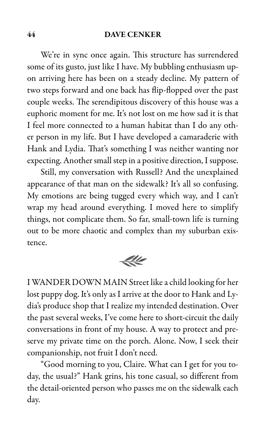We're in sync once again. This structure has surrendered some of its gusto, just like I have. My bubbling enthusiasm upon arriving here has been on a steady decline. My pattern of two steps forward and one back has flip-flopped over the past couple weeks. The serendipitous discovery of this house was a euphoric moment for me. It's not lost on me how sad it is that I feel more connected to a human habitat than I do any other person in my life. But I have developed a camaraderie with Hank and Lydia. That's something I was neither wanting nor expecting. Another small step in a positive direction, I suppose.

Still, my conversation with Russell? And the unexplained appearance of that man on the sidewalk? It's all so confusing. My emotions are being tugged every which way, and I can't wrap my head around everything. I moved here to simplify things, not complicate them. So far, small-town life is turning out to be more chaotic and complex than my suburban existence.

 $44$ 

I WANDER DOWN MAIN Street like a child looking for her lost puppy dog. It's only as I arrive at the door to Hank and Lydia's produce shop that I realize my intended destination. Over the past several weeks, I've come here to short-circuit the daily conversations in front of my house. A way to protect and preserve my private time on the porch. Alone. Now, I seek their companionship, not fruit I don't need.

"Good morning to you, Claire. What can I get for you today, the usual?" Hank grins, his tone casual, so different from the detail-oriented person who passes me on the sidewalk each day.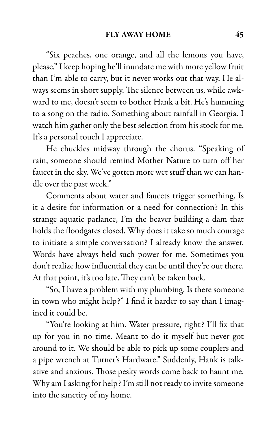"Six peaches, one orange, and all the lemons you have, please." I keep hoping he'll inundate me with more yellow fruit than I'm able to carry, but it never works out that way. He always seems in short supply. The silence between us, while awkward to me, doesn't seem to bother Hank a bit. He's humming to a song on the radio. Something about rainfall in Georgia. I watch him gather only the best selection from his stock for me. It's a personal touch I appreciate.

He chuckles midway through the chorus. "Speaking of rain, someone should remind Mother Nature to turn off her faucet in the sky. We've gotten more wet stuff than we can handle over the past week."

Comments about water and faucets trigger something. Is it a desire for information or a need for connection? In this strange aquatic parlance, I'm the beaver building a dam that holds the floodgates closed. Why does it take so much courage to initiate a simple conversation? I already know the answer. Words have always held such power for me. Sometimes you don't realize how influential they can be until they're out there. At that point, it's too late. They can't be taken back.

"So, I have a problem with my plumbing. Is there someone in town who might help?" I find it harder to say than I imagined it could be.

"You're looking at him. Water pressure, right? I'll fix that up for you in no time. Meant to do it myself but never got around to it. We should be able to pick up some couplers and a pipe wrench at Turner's Hardware." Suddenly, Hank is talkative and anxious. Those pesky words come back to haunt me. Why am I asking for help? I'm still not ready to invite someone into the sanctity of my home.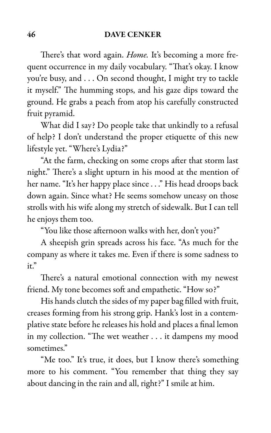There's that word again. Home. It's becoming a more frequent occurrence in my daily vocabulary. "That's okay. I know you're busy, and . . . On second thought, I might try to tackle it myself." The humming stops, and his gaze dips toward the ground. He grabs a peach from atop his carefully constructed fruit pyramid.

What did I say? Do people take that unkindly to a refusal of help? I don't understand the proper etiquette of this new lifestyle yet. "Where's Lydia?"

"At the farm, checking on some crops after that storm last night." There's a slight upturn in his mood at the mention of her name. "It's her happy place since . . ." His head droops back down again. Since what? He seems somehow uneasy on those strolls with his wife along my stretch of sidewalk. But I can tell he enjoys them too.

"You like those afternoon walks with her, don't you?"

A sheepish grin spreads across his face. "As much for the company as where it takes me. Even if there is some sadness to it."

There's a natural emotional connection with my newest friend. My tone becomes soft and empathetic. "How so?"

His hands clutch the sides of my paper bag filled with fruit, creases forming from his strong grip. Hank's lost in a contemplative state before he releases his hold and places a final lemon in my collection. "The wet weather . . . it dampens my mood sometimes."

"Me too." It's true, it does, but I know there's something more to his comment. "You remember that thing they say about dancing in the rain and all, right?" I smile at him.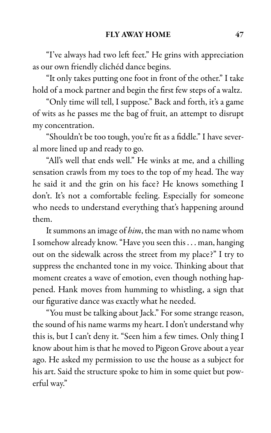"I've always had two left feet." He grins with appreciation as our own friendly clichéd dance begins.

"It only takes putting one foot in front of the other." I take hold of a mock partner and begin the first few steps of a waltz.

"Only time will tell, I suppose." Back and forth, it's a game of wits as he passes me the bag of fruit, an attempt to disrupt my concentration.

"Shouldn't be too tough, you're fit as a fiddle." I have several more lined up and ready to go.

"All's well that ends well." He winks at me, and a chilling sensation crawls from my toes to the top of my head. The way he said it and the grin on his face? He knows something I don't. It's not a comfortable feeling. Especially for someone who needs to understand everything that's happening around them.

It summons an image of *him*, the man with no name whom I somehow already know. "Have you seen this . . . man, hanging out on the sidewalk across the street from my place?" I try to suppress the enchanted tone in my voice. Thinking about that moment creates a wave of emotion, even though nothing happened. Hank moves from humming to whistling, a sign that our figurative dance was exactly what he needed.

"You must be talking about Jack." For some strange reason, the sound of his name warms my heart. I don't understand why this is, but I can't deny it. "Seen him a few times. Only thing I know about him is that he moved to Pigeon Grove about a year ago. He asked my permission to use the house as a subject for his art. Said the structure spoke to him in some quiet but powerful way."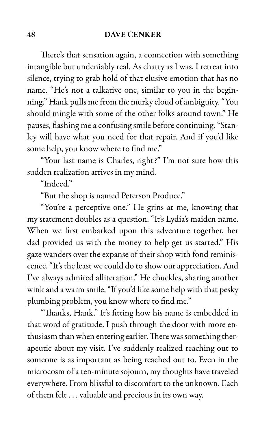There's that sensation again, a connection with something intangible but undeniably real. As chatty as I was, I retreat into silence, trying to grab hold of that elusive emotion that has no name. "He's not a talkative one, similar to you in the beginning." Hank pulls me from the murky cloud of ambiguity. "You should mingle with some of the other folks around town." He pauses, flashing me a confusing smile before continuing. "Stanley will have what you need for that repair. And if you'd like some help, you know where to find me."

"Your last name is Charles, right?" I'm not sure how this sudden realization arrives in my mind.

"Indeed."

"But the shop is named Peterson Produce."

"You're a perceptive one." He grins at me, knowing that my statement doubles as a question. "It's Lydia's maiden name. When we first embarked upon this adventure together, her dad provided us with the money to help get us started." His gaze wanders over the expanse of their shop with fond reminiscence. "It's the least we could do to show our appreciation. And I've always admired alliteration." He chuckles, sharing another wink and a warm smile. "If you'd like some help with that pesky plumbing problem, you know where to find me."

"Thanks, Hank." It's fitting how his name is embedded in that word of gratitude. I push through the door with more enthusiasm than when entering earlier. There was something therapeutic about my visit. I've suddenly realized reaching out to someone is as important as being reached out to. Even in the microcosm of a ten-minute sojourn, my thoughts have traveled everywhere. From blissful to discomfort to the unknown. Each of them felt . . . valuable and precious in its own way.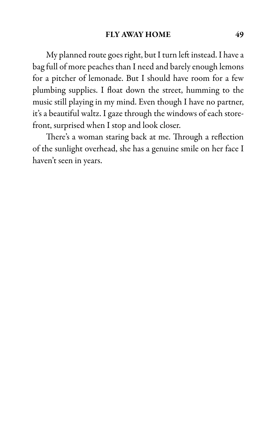# FLY AWAY HOME 49

My planned route goes right, but I turn left instead. I have a bag full of more peaches than I need and barely enough lemons for a pitcher of lemonade. But I should have room for a few plumbing supplies. I float down the street, humming to the music still playing in my mind. Even though I have no partner, it's a beautiful waltz. I gaze through the windows of each storefront, surprised when I stop and look closer.

There's a woman staring back at me. Through a reflection of the sunlight overhead, she has a genuine smile on her face I haven't seen in years.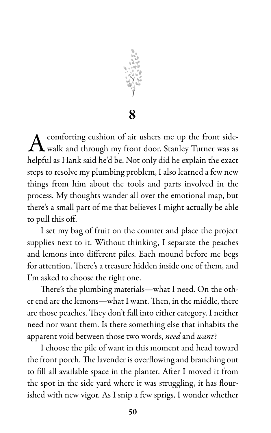

8

 $A$  comforting cushion of air ushers me up the front side-<br>walk and through my front door. Stanley Turner was as comforting cushion of air ushers me up the front sidehelpful as Hank said he'd be. Not only did he explain the exact steps to resolve my plumbing problem, I also learned a few new things from him about the tools and parts involved in the process. My thoughts wander all over the emotional map, but there's a small part of me that believes I might actually be able to pull this off.

I set my bag of fruit on the counter and place the project supplies next to it. Without thinking, I separate the peaches and lemons into different piles. Each mound before me begs for attention. There's a treasure hidden inside one of them, and I'm asked to choose the right one.

There's the plumbing materials—what I need. On the other end are the lemons—what I want. Then, in the middle, there are those peaches. They don't fall into either category. I neither need nor want them. Is there something else that inhabits the apparent void between those two words, need and want?

I choose the pile of want in this moment and head toward the front porch. The lavender is overflowing and branching out to fill all available space in the planter. After I moved it from the spot in the side yard where it was struggling, it has flourished with new vigor. As I snip a few sprigs, I wonder whether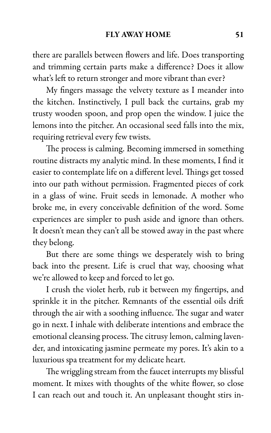there are parallels between flowers and life. Does transporting and trimming certain parts make a difference? Does it allow what's left to return stronger and more vibrant than ever?

My fingers massage the velvety texture as I meander into the kitchen. Instinctively, I pull back the curtains, grab my trusty wooden spoon, and prop open the window. I juice the lemons into the pitcher. An occasional seed falls into the mix, requiring retrieval every few twists.

The process is calming. Becoming immersed in something routine distracts my analytic mind. In these moments, I find it easier to contemplate life on a different level. Things get tossed into our path without permission. Fragmented pieces of cork in a glass of wine. Fruit seeds in lemonade. A mother who broke me, in every conceivable definition of the word. Some experiences are simpler to push aside and ignore than others. It doesn't mean they can't all be stowed away in the past where they belong.

But there are some things we desperately wish to bring back into the present. Life is cruel that way, choosing what we're allowed to keep and forced to let go.

I crush the violet herb, rub it between my fingertips, and sprinkle it in the pitcher. Remnants of the essential oils drift through the air with a soothing influence. The sugar and water go in next. I inhale with deliberate intentions and embrace the emotional cleansing process. The citrusy lemon, calming lavender, and intoxicating jasmine permeate my pores. It's akin to a luxurious spa treatment for my delicate heart.

The wriggling stream from the faucet interrupts my blissful moment. It mixes with thoughts of the white flower, so close I can reach out and touch it. An unpleasant thought stirs in-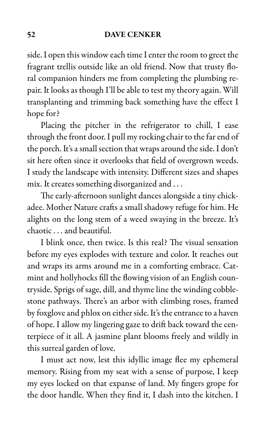side. I open this window each time I enter the room to greet the fragrant trellis outside like an old friend. Now that trusty floral companion hinders me from completing the plumbing repair. It looks as though I'll be able to test my theory again. Will transplanting and trimming back something have the effect I hope for?

Placing the pitcher in the refrigerator to chill, I ease through the front door. I pull my rocking chair to the far end of the porch. It's a small section that wraps around the side. I don't sit here often since it overlooks that field of overgrown weeds. I study the landscape with intensity. Different sizes and shapes mix. It creates something disorganized and . . .

The early-afternoon sunlight dances alongside a tiny chickadee. Mother Nature crafts a small shadowy refuge for him. He alights on the long stem of a weed swaying in the breeze. It's chaotic . . . and beautiful.

I blink once, then twice. Is this real? The visual sensation before my eyes explodes with texture and color. It reaches out and wraps its arms around me in a comforting embrace. Catmint and hollyhocks fill the flowing vision of an English countryside. Sprigs of sage, dill, and thyme line the winding cobblestone pathways. There's an arbor with climbing roses, framed by foxglove and phlox on either side. It's the entrance to a haven of hope. I allow my lingering gaze to drift back toward the centerpiece of it all. A jasmine plant blooms freely and wildly in this surreal garden of love.

I must act now, lest this idyllic image flee my ephemeral memory. Rising from my seat with a sense of purpose, I keep my eyes locked on that expanse of land. My fingers grope for the door handle. When they find it, I dash into the kitchen. I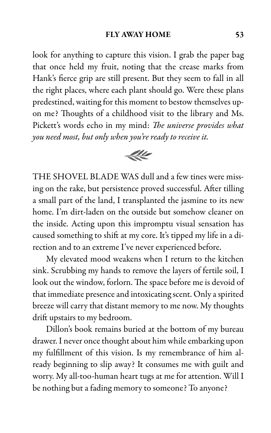look for anything to capture this vision. I grab the paper bag that once held my fruit, noting that the crease marks from Hank's fierce grip are still present. But they seem to fall in all the right places, where each plant should go. Were these plans predestined, waiting for this moment to bestow themselves upon me? Thoughts of a childhood visit to the library and Ms. Pickett's words echo in my mind: The universe provides what you need most, but only when you're ready to receive it.



THE SHOVEL BLADE WAS dull and a few tines were missing on the rake, but persistence proved successful. After tilling a small part of the land, I transplanted the jasmine to its new home. I'm dirt-laden on the outside but somehow cleaner on the inside. Acting upon this impromptu visual sensation has caused something to shift at my core. It's tipped my life in a direction and to an extreme I've never experienced before.

My elevated mood weakens when I return to the kitchen sink. Scrubbing my hands to remove the layers of fertile soil, I look out the window, forlorn. The space before me is devoid of that immediate presence and intoxicating scent. Only a spirited breeze will carry that distant memory to me now. My thoughts drift upstairs to my bedroom.

Dillon's book remains buried at the bottom of my bureau drawer. I never once thought about him while embarking upon my fulfillment of this vision. Is my remembrance of him already beginning to slip away? It consumes me with guilt and worry. My all-too-human heart tugs at me for attention. Will I be nothing but a fading memory to someone? To anyone?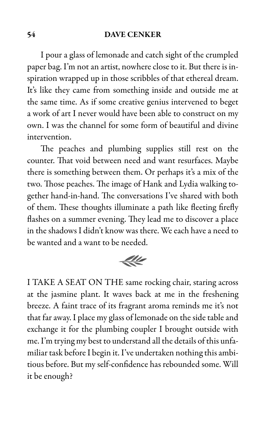I pour a glass of lemonade and catch sight of the crumpled paper bag. I'm not an artist, nowhere close to it. But there is inspiration wrapped up in those scribbles of that ethereal dream. It's like they came from something inside and outside me at the same time. As if some creative genius intervened to beget a work of art I never would have been able to construct on my own. I was the channel for some form of beautiful and divine intervention.

The peaches and plumbing supplies still rest on the counter. That void between need and want resurfaces. Maybe there is something between them. Or perhaps it's a mix of the two. Those peaches. The image of Hank and Lydia walking together hand-in-hand. The conversations I've shared with both of them. These thoughts illuminate a path like fleeting firefly flashes on a summer evening. They lead me to discover a place in the shadows I didn't know was there. We each have a need to be wanted and a want to be needed.



I TAKE A SEAT ON THE same rocking chair, staring across at the jasmine plant. It waves back at me in the freshening breeze. A faint trace of its fragrant aroma reminds me it's not that far away. I place my glass of lemonade on the side table and exchange it for the plumbing coupler I brought outside with me. I'm trying my best to understand all the details of this unfamiliar task before I begin it. I've undertaken nothing this ambitious before. But my self-confidence has rebounded some. Will it be enough?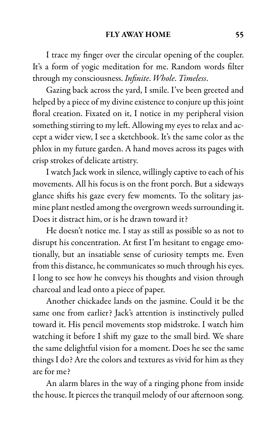I trace my finger over the circular opening of the coupler. It's a form of yogic meditation for me. Random words filter through my consciousness. Infinite. Whole. Timeless.

Gazing back across the yard, I smile. I've been greeted and helped by a piece of my divine existence to conjure up this joint floral creation. Fixated on it, I notice in my peripheral vision something stirring to my left. Allowing my eyes to relax and accept a wider view, I see a sketchbook. It's the same color as the phlox in my future garden. A hand moves across its pages with crisp strokes of delicate artistry.

I watch Jack work in silence, willingly captive to each of his movements. All his focus is on the front porch. But a sideways glance shifts his gaze every few moments. To the solitary jasmine plant nestled among the overgrown weeds surrounding it. Does it distract him, or is he drawn toward it?

He doesn't notice me. I stay as still as possible so as not to disrupt his concentration. At first I'm hesitant to engage emotionally, but an insatiable sense of curiosity tempts me. Even from this distance, he communicates so much through his eyes. I long to see how he conveys his thoughts and vision through charcoal and lead onto a piece of paper.

Another chickadee lands on the jasmine. Could it be the same one from earlier? Jack's attention is instinctively pulled toward it. His pencil movements stop midstroke. I watch him watching it before I shift my gaze to the small bird. We share the same delightful vision for a moment. Does he see the same things I do? Are the colors and textures as vivid for him as they are for me?

An alarm blares in the way of a ringing phone from inside the house. It pierces the tranquil melody of our afternoon song.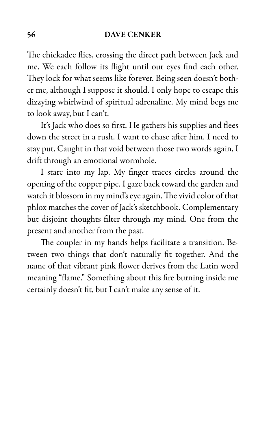The chickadee flies, crossing the direct path between Jack and me. We each follow its flight until our eyes find each other. They lock for what seems like forever. Being seen doesn't bother me, although I suppose it should. I only hope to escape this dizzying whirlwind of spiritual adrenaline. My mind begs me to look away, but I can't.

It's Jack who does so first. He gathers his supplies and flees down the street in a rush. I want to chase after him. I need to stay put. Caught in that void between those two words again, I drift through an emotional wormhole.

I stare into my lap. My finger traces circles around the opening of the copper pipe. I gaze back toward the garden and watch it blossom in my mind's eye again. The vivid color of that phlox matches the cover of Jack's sketchbook. Complementary but disjoint thoughts filter through my mind. One from the present and another from the past.

The coupler in my hands helps facilitate a transition. Between two things that don't naturally fit together. And the name of that vibrant pink flower derives from the Latin word meaning "flame." Something about this fire burning inside me certainly doesn't fit, but I can't make any sense of it.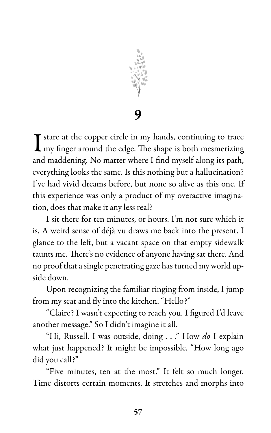

9

I stare at the copper circle in my hands, continuing to trace<br>In my finger around the edge. The shape is both mesmerizing my finger around the edge. The shape is both mesmerizing and maddening. No matter where I find myself along its path, everything looks the same. Is this nothing but a hallucination? I've had vivid dreams before, but none so alive as this one. If this experience was only a product of my overactive imagination, does that make it any less real?

I sit there for ten minutes, or hours. I'm not sure which it is. A weird sense of déjà vu draws me back into the present. I glance to the left, but a vacant space on that empty sidewalk taunts me. There's no evidence of anyone having sat there. And no proof that a single penetrating gaze has turned my world upside down.

Upon recognizing the familiar ringing from inside, I jump from my seat and fly into the kitchen. "Hello?"

"Claire? I wasn't expecting to reach you. I figured I'd leave another message." So I didn't imagine it all.

"Hi, Russell. I was outside, doing . . ." How do I explain what just happened? It might be impossible. "How long ago did you call?"

"Five minutes, ten at the most." It felt so much longer. Time distorts certain moments. It stretches and morphs into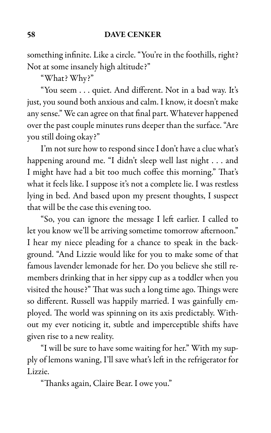something infinite. Like a circle. "You're in the foothills, right? Not at some insanely high altitude?"

"What? Why?"

"You seem . . . quiet. And different. Not in a bad way. It's just, you sound both anxious and calm. I know, it doesn't make any sense." We can agree on that final part. Whatever happened over the past couple minutes runs deeper than the surface. "Are you still doing okay?"

I'm not sure how to respond since I don't have a clue what's happening around me. "I didn't sleep well last night . . . and I might have had a bit too much coffee this morning." That's what it feels like. I suppose it's not a complete lie. I was restless lying in bed. And based upon my present thoughts, I suspect that will be the case this evening too.

"So, you can ignore the message I left earlier. I called to let you know we'll be arriving sometime tomorrow afternoon." I hear my niece pleading for a chance to speak in the background. "And Lizzie would like for you to make some of that famous lavender lemonade for her. Do you believe she still remembers drinking that in her sippy cup as a toddler when you visited the house?" That was such a long time ago. Things were so different. Russell was happily married. I was gainfully employed. The world was spinning on its axis predictably. Without my ever noticing it, subtle and imperceptible shifts have given rise to a new reality.

"I will be sure to have some waiting for her." With my supply of lemons waning, I'll save what's left in the refrigerator for Lizzie.

"Thanks again, Claire Bear. I owe you."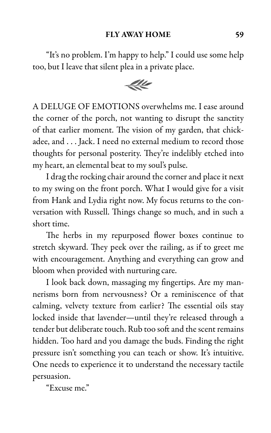# FLY AWAY HOME 59

"It's no problem. I'm happy to help." I could use some help too, but I leave that silent plea in a private place.



A DELUGE OF EMOTIONS overwhelms me. I ease around the corner of the porch, not wanting to disrupt the sanctity of that earlier moment. The vision of my garden, that chickadee, and . . . Jack. I need no external medium to record those thoughts for personal posterity. They're indelibly etched into my heart, an elemental beat to my soul's pulse.

I drag the rocking chair around the corner and place it next to my swing on the front porch. What I would give for a visit from Hank and Lydia right now. My focus returns to the conversation with Russell. Things change so much, and in such a short time.

The herbs in my repurposed flower boxes continue to stretch skyward. They peek over the railing, as if to greet me with encouragement. Anything and everything can grow and bloom when provided with nurturing care.

I look back down, massaging my fingertips. Are my mannerisms born from nervousness? Or a reminiscence of that calming, velvety texture from earlier? The essential oils stay locked inside that lavender—until they're released through a tender but deliberate touch. Rub too soft and the scent remains hidden. Too hard and you damage the buds. Finding the right pressure isn't something you can teach or show. It's intuitive. One needs to experience it to understand the necessary tactile persuasion.

"Excuse me."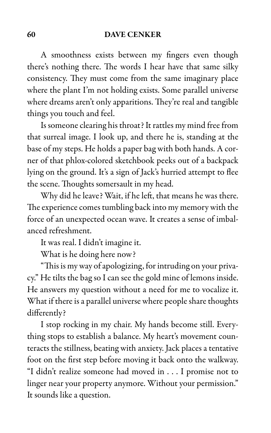A smoothness exists between my fingers even though there's nothing there. The words I hear have that same silky consistency. They must come from the same imaginary place where the plant I'm not holding exists. Some parallel universe where dreams aren't only apparitions. They're real and tangible things you touch and feel.

Is someone clearing his throat? It rattles my mind free from that surreal image. I look up, and there he is, standing at the base of my steps. He holds a paper bag with both hands. A corner of that phlox-colored sketchbook peeks out of a backpack lying on the ground. It's a sign of Jack's hurried attempt to flee the scene. Thoughts somersault in my head.

Why did he leave? Wait, if he left, that means he was there. The experience comes tumbling back into my memory with the force of an unexpected ocean wave. It creates a sense of imbalanced refreshment.

It was real. I didn't imagine it.

What is he doing here now?

"This is my way of apologizing, for intruding on your privacy." He tilts the bag so I can see the gold mine of lemons inside. He answers my question without a need for me to vocalize it. What if there is a parallel universe where people share thoughts differently?

I stop rocking in my chair. My hands become still. Everything stops to establish a balance. My heart's movement counteracts the stillness, beating with anxiety. Jack places a tentative foot on the first step before moving it back onto the walkway. "I didn't realize someone had moved in . . . I promise not to linger near your property anymore. Without your permission." It sounds like a question.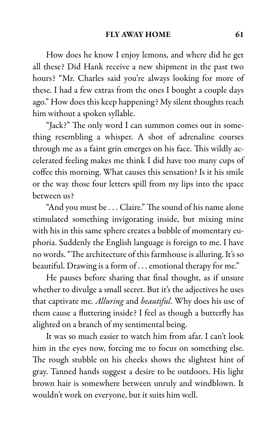How does he know I enjoy lemons, and where did he get all these? Did Hank receive a new shipment in the past two hours? "Mr. Charles said you're always looking for more of these. I had a few extras from the ones I bought a couple days ago." How does this keep happening? My silent thoughts reach him without a spoken syllable.

"Jack?" The only word I can summon comes out in something resembling a whisper. A shot of adrenaline courses through me as a faint grin emerges on his face. This wildly accelerated feeling makes me think I did have too many cups of coffee this morning. What causes this sensation? Is it his smile or the way those four letters spill from my lips into the space between us?

"And you must be . . . Claire." The sound of his name alone stimulated something invigorating inside, but mixing mine with his in this same sphere creates a bubble of momentary euphoria. Suddenly the English language is foreign to me. I have no words. "The architecture of this farmhouse is alluring. It's so beautiful. Drawing is a form of . . . emotional therapy for me."

He pauses before sharing that final thought, as if unsure whether to divulge a small secret. But it's the adjectives he uses that captivate me. Alluring and beautiful. Why does his use of them cause a fluttering inside? I feel as though a butterfly has alighted on a branch of my sentimental being.

It was so much easier to watch him from afar. I can't look him in the eyes now, forcing me to focus on something else. The rough stubble on his cheeks shows the slightest hint of gray. Tanned hands suggest a desire to be outdoors. His light brown hair is somewhere between unruly and windblown. It wouldn't work on everyone, but it suits him well.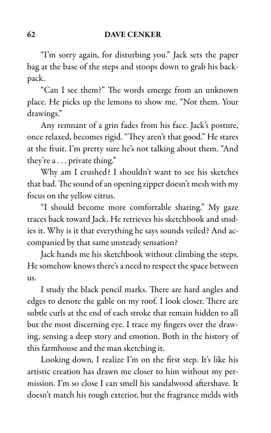"I'm sorry again, for disturbing you." Jack sets the paper bag at the base of the steps and stoops down to grab his backpack.

"Can I see them?" The words emerge from an unknown place. He picks up the lemons to show me. "Not them. Your drawings."

Any remnant of a grin fades from his face. Jack's posture, once relaxed, becomes rigid. "They aren't that good." He stares at the fruit. I'm pretty sure he's not talking about them. "And they're a . . . private thing."

Why am I crushed? I shouldn't want to see his sketches that bad. The sound of an opening zipper doesn't mesh with my focus on the yellow citrus.

"I should become more comfortable sharing." My gaze traces back toward Jack. He retrieves his sketchbook and studies it. Why is it that everything he says sounds veiled? And accompanied by that same unsteady sensation?

Jack hands me his sketchbook without climbing the steps. He somehow knows there's a need to respect the space between us.

I study the black pencil marks. There are hard angles and edges to denote the gable on my roof. I look closer. There are subtle curls at the end of each stroke that remain hidden to all but the most discerning eye. I trace my fingers over the drawing, sensing a deep story and emotion. Both in the history of this farmhouse and the man sketching it.

Looking down, I realize I'm on the first step. It's like his artistic creation has drawn me closer to him without my permission. I'm so close I can smell his sandalwood aftershave. It doesn't match his rough exterior, but the fragrance melds with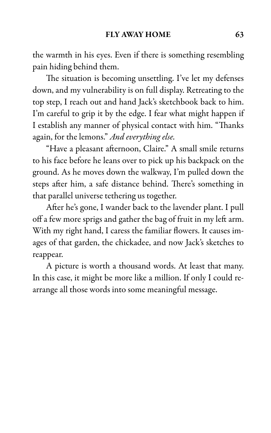the warmth in his eyes. Even if there is something resembling pain hiding behind them.

The situation is becoming unsettling. I've let my defenses down, and my vulnerability is on full display. Retreating to the top step, I reach out and hand Jack's sketchbook back to him. I'm careful to grip it by the edge. I fear what might happen if I establish any manner of physical contact with him. "Thanks again, for the lemons." And everything else.

"Have a pleasant afternoon, Claire." A small smile returns to his face before he leans over to pick up his backpack on the ground. As he moves down the walkway, I'm pulled down the steps after him, a safe distance behind. There's something in that parallel universe tethering us together.

After he's gone, I wander back to the lavender plant. I pull off a few more sprigs and gather the bag of fruit in my left arm. With my right hand, I caress the familiar flowers. It causes images of that garden, the chickadee, and now Jack's sketches to reappear.

A picture is worth a thousand words. At least that many. In this case, it might be more like a million. If only I could rearrange all those words into some meaningful message.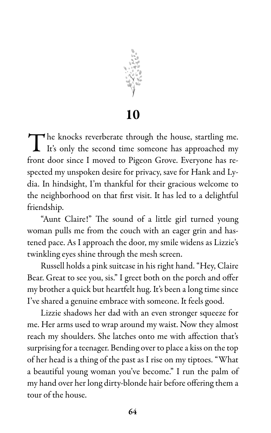

10

The knocks reverberate through the house, startling me.<br>It's only the second time someone has approached my It's only the second time someone has approached my front door since I moved to Pigeon Grove. Everyone has respected my unspoken desire for privacy, save for Hank and Lydia. In hindsight, I'm thankful for their gracious welcome to the neighborhood on that first visit. It has led to a delightful friendship.

"Aunt Claire!" The sound of a little girl turned young woman pulls me from the couch with an eager grin and hastened pace. As I approach the door, my smile widens as Lizzie's twinkling eyes shine through the mesh screen.

Russell holds a pink suitcase in his right hand. "Hey, Claire Bear. Great to see you, sis." I greet both on the porch and offer my brother a quick but heartfelt hug. It's been a long time since I've shared a genuine embrace with someone. It feels good.

Lizzie shadows her dad with an even stronger squeeze for me. Her arms used to wrap around my waist. Now they almost reach my shoulders. She latches onto me with affection that's surprising for a teenager. Bending over to place a kiss on the top of her head is a thing of the past as I rise on my tiptoes. "What a beautiful young woman you've become." I run the palm of my hand over her long dirty-blonde hair before offering them a tour of the house.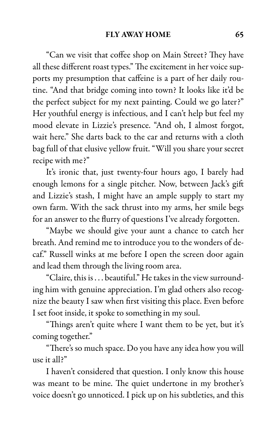"Can we visit that coffee shop on Main Street? They have all these different roast types." The excitement in her voice supports my presumption that caffeine is a part of her daily routine. "And that bridge coming into town? It looks like it'd be the perfect subject for my next painting. Could we go later?" Her youthful energy is infectious, and I can't help but feel my mood elevate in Lizzie's presence. "And oh, I almost forgot, wait here." She darts back to the car and returns with a cloth bag full of that elusive yellow fruit. "Will you share your secret recipe with me?"

It's ironic that, just twenty-four hours ago, I barely had enough lemons for a single pitcher. Now, between Jack's gift and Lizzie's stash, I might have an ample supply to start my own farm. With the sack thrust into my arms, her smile begs for an answer to the flurry of questions I've already forgotten.

"Maybe we should give your aunt a chance to catch her breath. And remind me to introduce you to the wonders of decaf." Russell winks at me before I open the screen door again and lead them through the living room area.

"Claire, this is . . . beautiful." He takes in the view surrounding him with genuine appreciation. I'm glad others also recognize the beauty I saw when first visiting this place. Even before I set foot inside, it spoke to something in my soul.

"Things aren't quite where I want them to be yet, but it's coming together."

"There's so much space. Do you have any idea how you will use it all?"

I haven't considered that question. I only know this house was meant to be mine. The quiet undertone in my brother's voice doesn't go unnoticed. I pick up on his subtleties, and this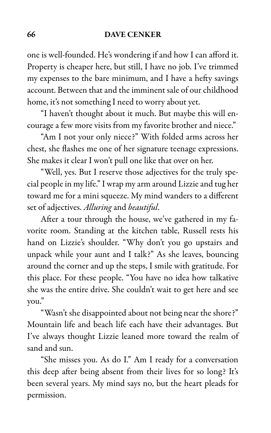one is well-founded. He's wondering if and how I can afford it. Property is cheaper here, but still, I have no job. I've trimmed my expenses to the bare minimum, and I have a hefty savings account. Between that and the imminent sale of our childhood home, it's not something I need to worry about yet.

"I haven't thought about it much. But maybe this will encourage a few more visits from my favorite brother and niece."

"Am I not your only niece?" With folded arms across her chest, she flashes me one of her signature teenage expressions. She makes it clear I won't pull one like that over on her.

"Well, yes. But I reserve those adjectives for the truly special people in my life." I wrap my arm around Lizzie and tug her toward me for a mini squeeze. My mind wanders to a different set of adjectives. Alluring and beautiful.

After a tour through the house, we've gathered in my favorite room. Standing at the kitchen table, Russell rests his hand on Lizzie's shoulder. "Why don't you go upstairs and unpack while your aunt and I talk?" As she leaves, bouncing around the corner and up the steps, I smile with gratitude. For this place. For these people. "You have no idea how talkative she was the entire drive. She couldn't wait to get here and see you."

"Wasn't she disappointed about not being near the shore?" Mountain life and beach life each have their advantages. But I've always thought Lizzie leaned more toward the realm of sand and sun.

"She misses you. As do I." Am I ready for a conversation this deep after being absent from their lives for so long? It's been several years. My mind says no, but the heart pleads for permission.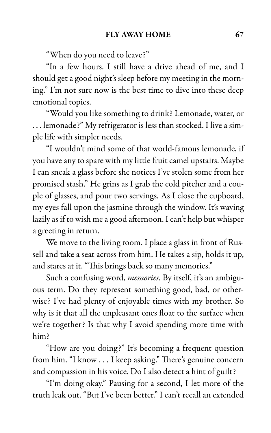"When do you need to leave?"

"In a few hours. I still have a drive ahead of me, and I should get a good night's sleep before my meeting in the morning." I'm not sure now is the best time to dive into these deep emotional topics.

"Would you like something to drink? Lemonade, water, or . . . lemonade?" My refrigerator is less than stocked. I live a simple life with simpler needs.

"I wouldn't mind some of that world-famous lemonade, if you have any to spare with my little fruit camel upstairs. Maybe I can sneak a glass before she notices I've stolen some from her promised stash." He grins as I grab the cold pitcher and a couple of glasses, and pour two servings. As I close the cupboard, my eyes fall upon the jasmine through the window. It's waving lazily as if to wish me a good afternoon. I can't help but whisper a greeting in return.

We move to the living room. I place a glass in front of Russell and take a seat across from him. He takes a sip, holds it up, and stares at it. "This brings back so many memories."

Such a confusing word, *memories*. By itself, it's an ambiguous term. Do they represent something good, bad, or otherwise? I've had plenty of enjoyable times with my brother. So why is it that all the unpleasant ones float to the surface when we're together? Is that why I avoid spending more time with him?

"How are you doing?" It's becoming a frequent question from him. "I know . . . I keep asking." There's genuine concern and compassion in his voice. Do I also detect a hint of guilt?

"I'm doing okay." Pausing for a second, I let more of the truth leak out. "But I've been better." I can't recall an extended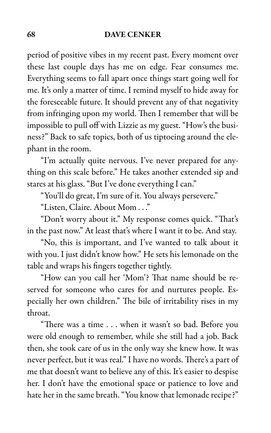period of positive vibes in my recent past. Every moment over these last couple days has me on edge. Fear consumes me. Everything seems to fall apart once things start going well for me. It's only a matter of time. I remind myself to hide away for the foreseeable future. It should prevent any of that negativity from infringing upon my world. Then I remember that will be impossible to pull off with Lizzie as my guest. "How's the business?" Back to safe topics, both of us tiptoeing around the elephant in the room.

"I'm actually quite nervous. I've never prepared for anything on this scale before." He takes another extended sip and stares at his glass. "But I've done everything I can."

"You'll do great, I'm sure of it. You always persevere."

"Listen, Claire. About Mom . . ."

"Don't worry about it." My response comes quick. "That's in the past now." At least that's where I want it to be. And stay.

"No, this is important, and I've wanted to talk about it with you. I just didn't know how." He sets his lemonade on the table and wraps his fingers together tightly.

"How can you call her 'Mom'? That name should be reserved for someone who cares for and nurtures people. Especially her own children." The bile of irritability rises in my throat.

"There was a time . . . when it wasn't so bad. Before you were old enough to remember, while she still had a job. Back then, she took care of us in the only way she knew how. It was never perfect, but it was real." I have no words. There's a part of me that doesn't want to believe any of this. It's easier to despise her. I don't have the emotional space or patience to love and hate her in the same breath. "You know that lemonade recipe?"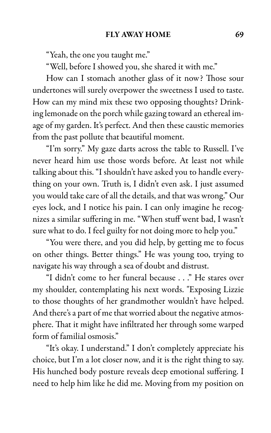"Yeah, the one you taught me."

"Well, before I showed you, she shared it with me."

How can I stomach another glass of it now? Those sour undertones will surely overpower the sweetness I used to taste. How can my mind mix these two opposing thoughts? Drinking lemonade on the porch while gazing toward an ethereal image of my garden. It's perfect. And then these caustic memories from the past pollute that beautiful moment.

"I'm sorry." My gaze darts across the table to Russell. I've never heard him use those words before. At least not while talking about this. "I shouldn't have asked you to handle everything on your own. Truth is, I didn't even ask. I just assumed you would take care of all the details, and that was wrong." Our eyes lock, and I notice his pain. I can only imagine he recognizes a similar suffering in me. "When stuff went bad, I wasn't sure what to do. I feel guilty for not doing more to help you."

"You were there, and you did help, by getting me to focus on other things. Better things." He was young too, trying to navigate his way through a sea of doubt and distrust.

"I didn't come to her funeral because . . ." He stares over my shoulder, contemplating his next words. "Exposing Lizzie to those thoughts of her grandmother wouldn't have helped. And there's a part of me that worried about the negative atmosphere. That it might have infiltrated her through some warped form of familial osmosis."

"It's okay. I understand." I don't completely appreciate his choice, but I'm a lot closer now, and it is the right thing to say. His hunched body posture reveals deep emotional suffering. I need to help him like he did me. Moving from my position on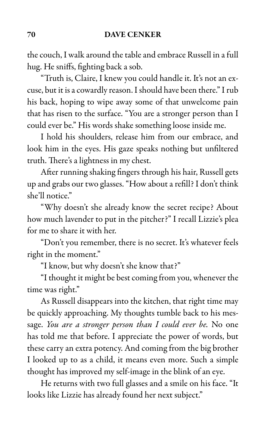the couch, I walk around the table and embrace Russell in a full hug. He sniffs, fighting back a sob.

"Truth is, Claire, I knew you could handle it. It's not an excuse, but it is a cowardly reason. I should have been there." I rub his back, hoping to wipe away some of that unwelcome pain that has risen to the surface. "You are a stronger person than I could ever be." His words shake something loose inside me.

I hold his shoulders, release him from our embrace, and look him in the eyes. His gaze speaks nothing but unfiltered truth. There's a lightness in my chest.

After running shaking fingers through his hair, Russell gets up and grabs our two glasses. "How about a refill? I don't think she'll notice."

"Why doesn't she already know the secret recipe? About how much lavender to put in the pitcher?" I recall Lizzie's plea for me to share it with her.

"Don't you remember, there is no secret. It's whatever feels right in the moment."

"I know, but why doesn't she know that?"

"I thought it might be best coming from you, whenever the time was right."

As Russell disappears into the kitchen, that right time may be quickly approaching. My thoughts tumble back to his message. You are a stronger person than I could ever be. No one has told me that before. I appreciate the power of words, but these carry an extra potency. And coming from the big brother I looked up to as a child, it means even more. Such a simple thought has improved my self-image in the blink of an eye.

He returns with two full glasses and a smile on his face. "It looks like Lizzie has already found her next subject."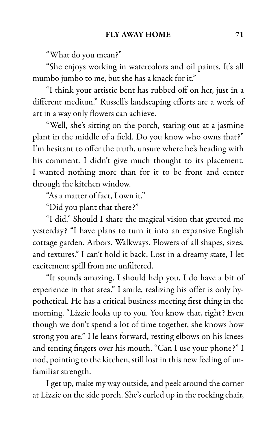"What do you mean?"

"She enjoys working in watercolors and oil paints. It's all mumbo jumbo to me, but she has a knack for it."

"I think your artistic bent has rubbed off on her, just in a different medium." Russell's landscaping efforts are a work of art in a way only flowers can achieve.

"Well, she's sitting on the porch, staring out at a jasmine plant in the middle of a field. Do you know who owns that?" I'm hesitant to offer the truth, unsure where he's heading with his comment. I didn't give much thought to its placement. I wanted nothing more than for it to be front and center through the kitchen window.

"As a matter of fact, I own it."

"Did you plant that there?"

"I did." Should I share the magical vision that greeted me yesterday? "I have plans to turn it into an expansive English cottage garden. Arbors. Walkways. Flowers of all shapes, sizes, and textures." I can't hold it back. Lost in a dreamy state, I let excitement spill from me unfiltered.

"It sounds amazing. I should help you. I do have a bit of experience in that area." I smile, realizing his offer is only hypothetical. He has a critical business meeting first thing in the morning. "Lizzie looks up to you. You know that, right? Even though we don't spend a lot of time together, she knows how strong you are." He leans forward, resting elbows on his knees and tenting fingers over his mouth. "Can I use your phone?" I nod, pointing to the kitchen, still lost in this new feeling of unfamiliar strength.

I get up, make my way outside, and peek around the corner at Lizzie on the side porch. She's curled up in the rocking chair,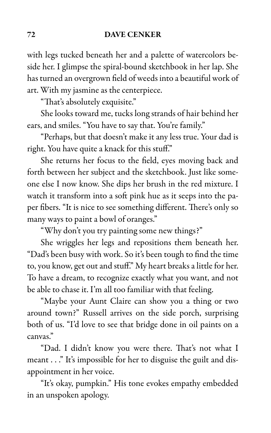with legs tucked beneath her and a palette of watercolors beside her. I glimpse the spiral-bound sketchbook in her lap. She has turned an overgrown field of weeds into a beautiful work of art. With my jasmine as the centerpiece.

"That's absolutely exquisite."

She looks toward me, tucks long strands of hair behind her ears, and smiles. "You have to say that. You're family."

"Perhaps, but that doesn't make it any less true. Your dad is right. You have quite a knack for this stuff."

She returns her focus to the field, eyes moving back and forth between her subject and the sketchbook. Just like someone else I now know. She dips her brush in the red mixture. I watch it transform into a soft pink hue as it seeps into the paper fibers. "It is nice to see something different. There's only so many ways to paint a bowl of oranges."

"Why don't you try painting some new things?"

She wriggles her legs and repositions them beneath her. "Dad's been busy with work. So it's been tough to find the time to, you know, get out and stuff." My heart breaks a little for her. To have a dream, to recognize exactly what you want, and not be able to chase it. I'm all too familiar with that feeling.

"Maybe your Aunt Claire can show you a thing or two around town?" Russell arrives on the side porch, surprising both of us. "I'd love to see that bridge done in oil paints on a canvas."

"Dad. I didn't know you were there. That's not what I meant . . ." It's impossible for her to disguise the guilt and disappointment in her voice.

"It's okay, pumpkin." His tone evokes empathy embedded in an unspoken apology.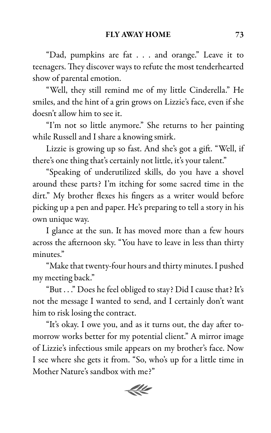"Dad, pumpkins are fat . . . and orange." Leave it to teenagers. They discover ways to refute the most tenderhearted show of parental emotion.

"Well, they still remind me of my little Cinderella." He smiles, and the hint of a grin grows on Lizzie's face, even if she doesn't allow him to see it.

"I'm not so little anymore." She returns to her painting while Russell and I share a knowing smirk.

Lizzie is growing up so fast. And she's got a gift. "Well, if there's one thing that's certainly not little, it's your talent."

"Speaking of underutilized skills, do you have a shovel around these parts? I'm itching for some sacred time in the dirt." My brother flexes his fingers as a writer would before picking up a pen and paper. He's preparing to tell a story in his own unique way.

I glance at the sun. It has moved more than a few hours across the afternoon sky. "You have to leave in less than thirty minutes."

"Make that twenty-four hours and thirty minutes. I pushed my meeting back."

"But . . ." Does he feel obliged to stay? Did I cause that? It's not the message I wanted to send, and I certainly don't want him to risk losing the contract.

"It's okay. I owe you, and as it turns out, the day after tomorrow works better for my potential client." A mirror image of Lizzie's infectious smile appears on my brother's face. Now I see where she gets it from. "So, who's up for a little time in Mother Nature's sandbox with me?"

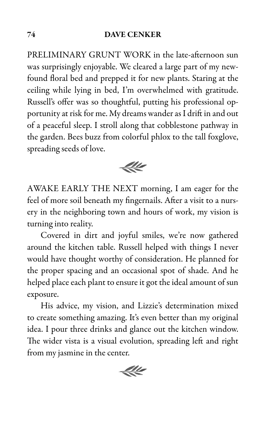PRELIMINARY GRUNT WORK in the late-afternoon sun was surprisingly enjoyable. We cleared a large part of my newfound floral bed and prepped it for new plants. Staring at the ceiling while lying in bed, I'm overwhelmed with gratitude. Russell's offer was so thoughtful, putting his professional opportunity at risk for me. My dreams wander as I drift in and out of a peaceful sleep. I stroll along that cobblestone pathway in the garden. Bees buzz from colorful phlox to the tall foxglove, spreading seeds of love.



AWAKE EARLY THE NEXT morning, I am eager for the feel of more soil beneath my fingernails. After a visit to a nursery in the neighboring town and hours of work, my vision is turning into reality.

Covered in dirt and joyful smiles, we're now gathered around the kitchen table. Russell helped with things I never would have thought worthy of consideration. He planned for the proper spacing and an occasional spot of shade. And he helped place each plant to ensure it got the ideal amount of sun exposure.

His advice, my vision, and Lizzie's determination mixed to create something amazing. It's even better than my original idea. I pour three drinks and glance out the kitchen window. The wider vista is a visual evolution, spreading left and right from my jasmine in the center.

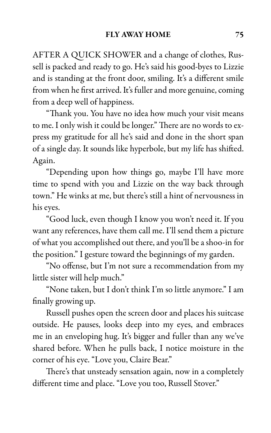AFTER A QUICK SHOWER and a change of clothes, Russell is packed and ready to go. He's said his good-byes to Lizzie and is standing at the front door, smiling. It's a different smile from when he first arrived. It's fuller and more genuine, coming from a deep well of happiness.

"Thank you. You have no idea how much your visit means to me. I only wish it could be longer." There are no words to express my gratitude for all he's said and done in the short span of a single day. It sounds like hyperbole, but my life has shifted. Again.

"Depending upon how things go, maybe I'll have more time to spend with you and Lizzie on the way back through town." He winks at me, but there's still a hint of nervousness in his eyes.

"Good luck, even though I know you won't need it. If you want any references, have them call me. I'll send them a picture of what you accomplished out there, and you'll be a shoo-in for the position." I gesture toward the beginnings of my garden.

"No offense, but I'm not sure a recommendation from my little sister will help much."

"None taken, but I don't think I'm so little anymore." I am finally growing up.

Russell pushes open the screen door and places his suitcase outside. He pauses, looks deep into my eyes, and embraces me in an enveloping hug. It's bigger and fuller than any we've shared before. When he pulls back, I notice moisture in the corner of his eye. "Love you, Claire Bear."

There's that unsteady sensation again, now in a completely different time and place. "Love you too, Russell Stover."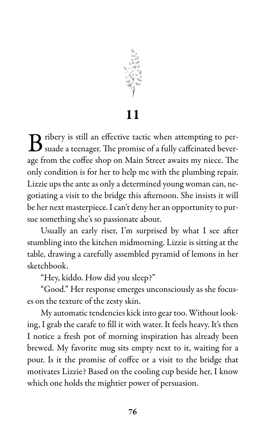

11

 $\bf B$  ribery is still an effective tactic when attempting to persuade a teenager. The promise of a fully caffeinated bever- $\Box$  ribery is still an effective tactic when attempting to perage from the coffee shop on Main Street awaits my niece. The only condition is for her to help me with the plumbing repair. Lizzie ups the ante as only a determined young woman can, negotiating a visit to the bridge this afternoon. She insists it will be her next masterpiece. I can't deny her an opportunity to pursue something she's so passionate about.

Usually an early riser, I'm surprised by what I see after stumbling into the kitchen midmorning. Lizzie is sitting at the table, drawing a carefully assembled pyramid of lemons in her sketchbook.

"Hey, kiddo. How did you sleep?"

"Good." Her response emerges unconsciously as she focuses on the texture of the zesty skin.

My automatic tendencies kick into gear too. Without looking, I grab the carafe to fill it with water. It feels heavy. It's then I notice a fresh pot of morning inspiration has already been brewed. My favorite mug sits empty next to it, waiting for a pour. Is it the promise of coffee or a visit to the bridge that motivates Lizzie? Based on the cooling cup beside her, I know which one holds the mightier power of persuasion.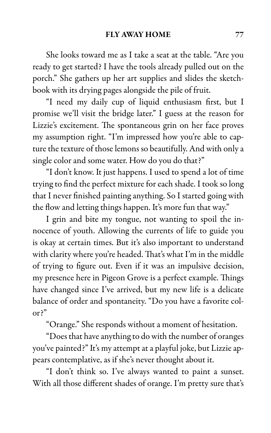She looks toward me as I take a seat at the table. "Are you ready to get started? I have the tools already pulled out on the porch." She gathers up her art supplies and slides the sketchbook with its drying pages alongside the pile of fruit.

"I need my daily cup of liquid enthusiasm first, but I promise we'll visit the bridge later." I guess at the reason for Lizzie's excitement. The spontaneous grin on her face proves my assumption right. "I'm impressed how you're able to capture the texture of those lemons so beautifully. And with only a single color and some water. How do you do that?"

"I don't know. It just happens. I used to spend a lot of time trying to find the perfect mixture for each shade. I took so long that I never finished painting anything. So I started going with the flow and letting things happen. It's more fun that way."

I grin and bite my tongue, not wanting to spoil the innocence of youth. Allowing the currents of life to guide you is okay at certain times. But it's also important to understand with clarity where you're headed. That's what I'm in the middle of trying to figure out. Even if it was an impulsive decision, my presence here in Pigeon Grove is a perfect example. Things have changed since I've arrived, but my new life is a delicate balance of order and spontaneity. "Do you have a favorite color?"

"Orange." She responds without a moment of hesitation.

"Does that have anything to do with the number of oranges you've painted?" It's my attempt at a playful joke, but Lizzie appears contemplative, as if she's never thought about it.

"I don't think so. I've always wanted to paint a sunset. With all those different shades of orange. I'm pretty sure that's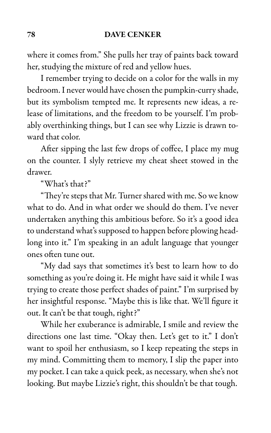where it comes from." She pulls her tray of paints back toward her, studying the mixture of red and yellow hues.

I remember trying to decide on a color for the walls in my bedroom. I never would have chosen the pumpkin-curry shade, but its symbolism tempted me. It represents new ideas, a release of limitations, and the freedom to be yourself. I'm probably overthinking things, but I can see why Lizzie is drawn toward that color.

After sipping the last few drops of coffee, I place my mug on the counter. I slyly retrieve my cheat sheet stowed in the drawer.

"What's that?"

"They're steps that Mr. Turner shared with me. So we know what to do. And in what order we should do them. I've never undertaken anything this ambitious before. So it's a good idea to understand what's supposed to happen before plowing headlong into it." I'm speaking in an adult language that younger ones often tune out.

"My dad says that sometimes it's best to learn how to do something as you're doing it. He might have said it while I was trying to create those perfect shades of paint." I'm surprised by her insightful response. "Maybe this is like that. We'll figure it out. It can't be that tough, right?"

While her exuberance is admirable, I smile and review the directions one last time. "Okay then. Let's get to it." I don't want to spoil her enthusiasm, so I keep repeating the steps in my mind. Committing them to memory, I slip the paper into my pocket. I can take a quick peek, as necessary, when she's not looking. But maybe Lizzie's right, this shouldn't be that tough.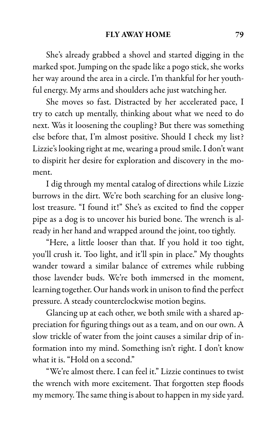She's already grabbed a shovel and started digging in the marked spot. Jumping on the spade like a pogo stick, she works her way around the area in a circle. I'm thankful for her youthful energy. My arms and shoulders ache just watching her.

She moves so fast. Distracted by her accelerated pace, I try to catch up mentally, thinking about what we need to do next. Was it loosening the coupling? But there was something else before that, I'm almost positive. Should I check my list? Lizzie's looking right at me, wearing a proud smile. I don't want to dispirit her desire for exploration and discovery in the moment.

I dig through my mental catalog of directions while Lizzie burrows in the dirt. We're both searching for an elusive longlost treasure. "I found it!" She's as excited to find the copper pipe as a dog is to uncover his buried bone. The wrench is already in her hand and wrapped around the joint, too tightly.

"Here, a little looser than that. If you hold it too tight, you'll crush it. Too light, and it'll spin in place." My thoughts wander toward a similar balance of extremes while rubbing those lavender buds. We're both immersed in the moment, learning together. Our hands work in unison to find the perfect pressure. A steady counterclockwise motion begins.

Glancing up at each other, we both smile with a shared appreciation for figuring things out as a team, and on our own. A slow trickle of water from the joint causes a similar drip of information into my mind. Something isn't right. I don't know what it is. "Hold on a second."

"We're almost there. I can feel it." Lizzie continues to twist the wrench with more excitement. That forgotten step floods my memory. The same thing is about to happen in my side yard.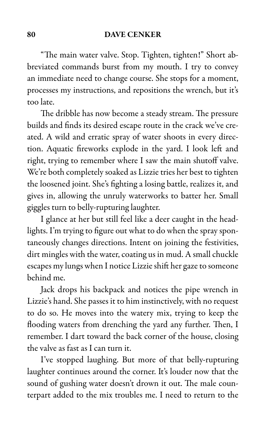"The main water valve. Stop. Tighten, tighten!" Short abbreviated commands burst from my mouth. I try to convey an immediate need to change course. She stops for a moment, processes my instructions, and repositions the wrench, but it's too late.

The dribble has now become a steady stream. The pressure builds and finds its desired escape route in the crack we've created. A wild and erratic spray of water shoots in every direction. Aquatic fireworks explode in the yard. I look left and right, trying to remember where I saw the main shutoff valve. We're both completely soaked as Lizzie tries her best to tighten the loosened joint. She's fighting a losing battle, realizes it, and gives in, allowing the unruly waterworks to batter her. Small giggles turn to belly-rupturing laughter.

I glance at her but still feel like a deer caught in the headlights. I'm trying to figure out what to do when the spray spontaneously changes directions. Intent on joining the festivities, dirt mingles with the water, coating us in mud. A small chuckle escapes my lungs when I notice Lizzie shift her gaze to someone behind me.

Jack drops his backpack and notices the pipe wrench in Lizzie's hand. She passes it to him instinctively, with no request to do so. He moves into the watery mix, trying to keep the flooding waters from drenching the yard any further. Then, I remember. I dart toward the back corner of the house, closing the valve as fast as I can turn it.

I've stopped laughing. But more of that belly-rupturing laughter continues around the corner. It's louder now that the sound of gushing water doesn't drown it out. The male counterpart added to the mix troubles me. I need to return to the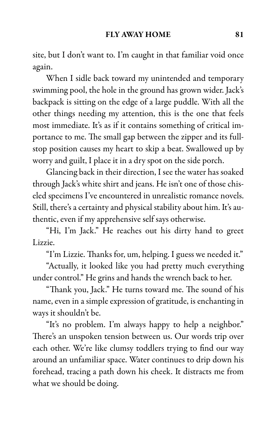site, but I don't want to. I'm caught in that familiar void once again.

When I sidle back toward my unintended and temporary swimming pool, the hole in the ground has grown wider. Jack's backpack is sitting on the edge of a large puddle. With all the other things needing my attention, this is the one that feels most immediate. It's as if it contains something of critical importance to me. The small gap between the zipper and its fullstop position causes my heart to skip a beat. Swallowed up by worry and guilt, I place it in a dry spot on the side porch.

Glancing back in their direction, I see the water has soaked through Jack's white shirt and jeans. He isn't one of those chiseled specimens I've encountered in unrealistic romance novels. Still, there's a certainty and physical stability about him. It's authentic, even if my apprehensive self says otherwise.

"Hi, I'm Jack." He reaches out his dirty hand to greet Lizzie.

"I'm Lizzie. Thanks for, um, helping. I guess we needed it."

"Actually, it looked like you had pretty much everything under control." He grins and hands the wrench back to her.

"Thank you, Jack." He turns toward me. The sound of his name, even in a simple expression of gratitude, is enchanting in ways it shouldn't be.

"It's no problem. I'm always happy to help a neighbor." There's an unspoken tension between us. Our words trip over each other. We're like clumsy toddlers trying to find our way around an unfamiliar space. Water continues to drip down his forehead, tracing a path down his cheek. It distracts me from what we should be doing.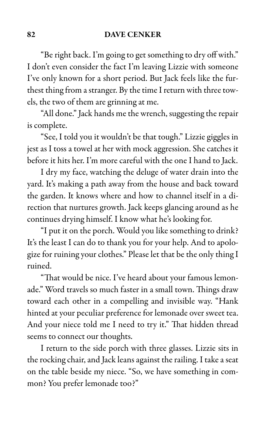"Be right back. I'm going to get something to dry off with." I don't even consider the fact I'm leaving Lizzie with someone I've only known for a short period. But Jack feels like the furthest thing from a stranger. By the time I return with three towels, the two of them are grinning at me.

"All done." Jack hands me the wrench, suggesting the repair is complete.

"See, I told you it wouldn't be that tough." Lizzie giggles in jest as I toss a towel at her with mock aggression. She catches it before it hits her. I'm more careful with the one I hand to Jack.

I dry my face, watching the deluge of water drain into the yard. It's making a path away from the house and back toward the garden. It knows where and how to channel itself in a direction that nurtures growth. Jack keeps glancing around as he continues drying himself. I know what he's looking for.

"I put it on the porch. Would you like something to drink? It's the least I can do to thank you for your help. And to apologize for ruining your clothes." Please let that be the only thing I ruined.

"That would be nice. I've heard about your famous lemonade." Word travels so much faster in a small town. Things draw toward each other in a compelling and invisible way. "Hank hinted at your peculiar preference for lemonade over sweet tea. And your niece told me I need to try it." That hidden thread seems to connect our thoughts.

I return to the side porch with three glasses. Lizzie sits in the rocking chair, and Jack leans against the railing. I take a seat on the table beside my niece. "So, we have something in common? You prefer lemonade too?"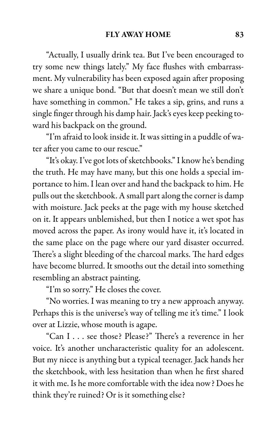"Actually, I usually drink tea. But I've been encouraged to try some new things lately." My face flushes with embarrassment. My vulnerability has been exposed again after proposing we share a unique bond. "But that doesn't mean we still don't have something in common." He takes a sip, grins, and runs a single finger through his damp hair. Jack's eyes keep peeking toward his backpack on the ground.

"I'm afraid to look inside it. It was sitting in a puddle of water after you came to our rescue."

"It's okay. I've got lots of sketchbooks." I know he's bending the truth. He may have many, but this one holds a special importance to him. I lean over and hand the backpack to him. He pulls out the sketchbook. A small part along the corner is damp with moisture. Jack peeks at the page with my house sketched on it. It appears unblemished, but then I notice a wet spot has moved across the paper. As irony would have it, it's located in the same place on the page where our yard disaster occurred. There's a slight bleeding of the charcoal marks. The hard edges have become blurred. It smooths out the detail into something resembling an abstract painting.

"I'm so sorry." He closes the cover.

"No worries. I was meaning to try a new approach anyway. Perhaps this is the universe's way of telling me it's time." I look over at Lizzie, whose mouth is agape.

"Can I . . . see those? Please?" There's a reverence in her voice. It's another uncharacteristic quality for an adolescent. But my niece is anything but a typical teenager. Jack hands her the sketchbook, with less hesitation than when he first shared it with me. Is he more comfortable with the idea now? Does he think they're ruined? Or is it something else?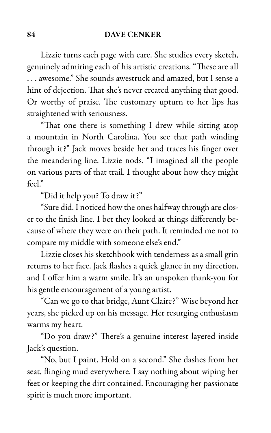Lizzie turns each page with care. She studies every sketch, genuinely admiring each of his artistic creations. "These are all . . . awesome." She sounds awestruck and amazed, but I sense a hint of dejection. That she's never created anything that good. Or worthy of praise. The customary upturn to her lips has straightened with seriousness.

"That one there is something I drew while sitting atop a mountain in North Carolina. You see that path winding through it?" Jack moves beside her and traces his finger over the meandering line. Lizzie nods. "I imagined all the people on various parts of that trail. I thought about how they might feel"

"Did it help you? To draw it?"

"Sure did. I noticed how the ones halfway through are closer to the finish line. I bet they looked at things differently because of where they were on their path. It reminded me not to compare my middle with someone else's end."

Lizzie closes his sketchbook with tenderness as a small grin returns to her face. Jack flashes a quick glance in my direction, and I offer him a warm smile. It's an unspoken thank-you for his gentle encouragement of a young artist.

"Can we go to that bridge, Aunt Claire?" Wise beyond her years, she picked up on his message. Her resurging enthusiasm warms my heart.

"Do you draw?" There's a genuine interest layered inside Jack's question.

"No, but I paint. Hold on a second." She dashes from her seat, flinging mud everywhere. I say nothing about wiping her feet or keeping the dirt contained. Encouraging her passionate spirit is much more important.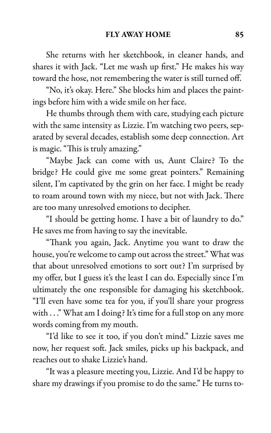She returns with her sketchbook, in cleaner hands, and shares it with Jack. "Let me wash up first." He makes his way toward the hose, not remembering the water is still turned off.

"No, it's okay. Here." She blocks him and places the paintings before him with a wide smile on her face.

He thumbs through them with care, studying each picture with the same intensity as Lizzie. I'm watching two peers, separated by several decades, establish some deep connection. Art is magic. "This is truly amazing."

"Maybe Jack can come with us, Aunt Claire? To the bridge? He could give me some great pointers." Remaining silent, I'm captivated by the grin on her face. I might be ready to roam around town with my niece, but not with Jack. There are too many unresolved emotions to decipher.

"I should be getting home. I have a bit of laundry to do." He saves me from having to say the inevitable.

"Thank you again, Jack. Anytime you want to draw the house, you're welcome to camp out across the street." What was that about unresolved emotions to sort out? I'm surprised by my offer, but I guess it's the least I can do. Especially since I'm ultimately the one responsible for damaging his sketchbook. "I'll even have some tea for you, if you'll share your progress with . . ." What am I doing? It's time for a full stop on any more words coming from my mouth.

"I'd like to see it too, if you don't mind." Lizzie saves me now, her request soft. Jack smiles, picks up his backpack, and reaches out to shake Lizzie's hand.

"It was a pleasure meeting you, Lizzie. And I'd be happy to share my drawings if you promise to do the same." He turns to-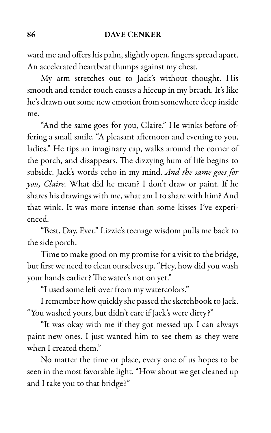ward me and offers his palm, slightly open, fingers spread apart. An accelerated heartbeat thumps against my chest.

My arm stretches out to Jack's without thought. His smooth and tender touch causes a hiccup in my breath. It's like he's drawn out some new emotion from somewhere deep inside me.

"And the same goes for you, Claire." He winks before offering a small smile. "A pleasant afternoon and evening to you, ladies." He tips an imaginary cap, walks around the corner of the porch, and disappears. The dizzying hum of life begins to subside. Jack's words echo in my mind. And the same goes for you, Claire. What did he mean? I don't draw or paint. If he shares his drawings with me, what am I to share with him? And that wink. It was more intense than some kisses I've experienced.

"Best. Day. Ever." Lizzie's teenage wisdom pulls me back to the side porch.

Time to make good on my promise for a visit to the bridge, but first we need to clean ourselves up. "Hey, how did you wash your hands earlier? The water's not on yet."

"I used some left over from my watercolors."

I remember how quickly she passed the sketchbook to Jack. "You washed yours, but didn't care if Jack's were dirty?"

"It was okay with me if they got messed up. I can always paint new ones. I just wanted him to see them as they were when I created them."

No matter the time or place, every one of us hopes to be seen in the most favorable light. "How about we get cleaned up and I take you to that bridge?"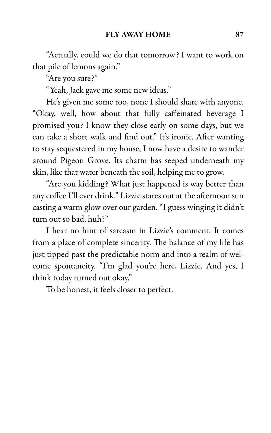"Actually, could we do that tomorrow? I want to work on that pile of lemons again."

"Are you sure?"

"Yeah, Jack gave me some new ideas."

He's given me some too, none I should share with anyone. "Okay, well, how about that fully caffeinated beverage I promised you? I know they close early on some days, but we can take a short walk and find out." It's ironic. After wanting to stay sequestered in my house, I now have a desire to wander around Pigeon Grove. Its charm has seeped underneath my skin, like that water beneath the soil, helping me to grow.

"Are you kidding? What just happened is way better than any coffee I'll ever drink." Lizzie stares out at the afternoon sun casting a warm glow over our garden. "I guess winging it didn't turn out so bad, huh?"

I hear no hint of sarcasm in Lizzie's comment. It comes from a place of complete sincerity. The balance of my life has just tipped past the predictable norm and into a realm of welcome spontaneity. "I'm glad you're here, Lizzie. And yes, I think today turned out okay."

To be honest, it feels closer to perfect.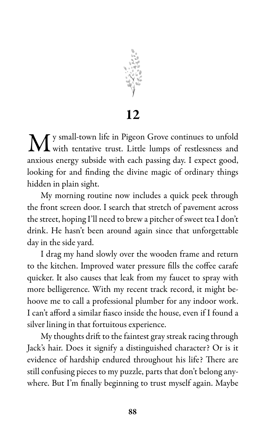

12

 $\mathbf M$ <sup>y small-town life in Pigeon Grove continues to unfold with tentative trust. Little lumps of restlessness and</sup> with tentative trust. Little lumps of restlessness and anxious energy subside with each passing day. I expect good, looking for and finding the divine magic of ordinary things hidden in plain sight.

My morning routine now includes a quick peek through the front screen door. I search that stretch of pavement across the street, hoping I'll need to brew a pitcher of sweet tea I don't drink. He hasn't been around again since that unforgettable day in the side yard.

I drag my hand slowly over the wooden frame and return to the kitchen. Improved water pressure fills the coffee carafe quicker. It also causes that leak from my faucet to spray with more belligerence. With my recent track record, it might behoove me to call a professional plumber for any indoor work. I can't afford a similar fiasco inside the house, even if I found a silver lining in that fortuitous experience.

My thoughts drift to the faintest gray streak racing through Jack's hair. Does it signify a distinguished character? Or is it evidence of hardship endured throughout his life? There are still confusing pieces to my puzzle, parts that don't belong anywhere. But I'm finally beginning to trust myself again. Maybe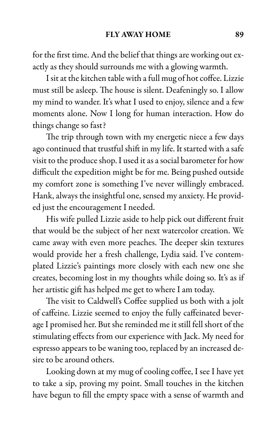for the first time. And the belief that things are working out exactly as they should surrounds me with a glowing warmth.

I sit at the kitchen table with a full mug of hot coffee. Lizzie must still be asleep. The house is silent. Deafeningly so. I allow my mind to wander. It's what I used to enjoy, silence and a few moments alone. Now I long for human interaction. How do things change so fast?

The trip through town with my energetic niece a few days ago continued that trustful shift in my life. It started with a safe visit to the produce shop. I used it as a social barometer for how difficult the expedition might be for me. Being pushed outside my comfort zone is something I've never willingly embraced. Hank, always the insightful one, sensed my anxiety. He provided just the encouragement I needed.

His wife pulled Lizzie aside to help pick out different fruit that would be the subject of her next watercolor creation. We came away with even more peaches. The deeper skin textures would provide her a fresh challenge, Lydia said. I've contemplated Lizzie's paintings more closely with each new one she creates, becoming lost in my thoughts while doing so. It's as if her artistic gift has helped me get to where I am today.

The visit to Caldwell's Coffee supplied us both with a jolt of caffeine. Lizzie seemed to enjoy the fully caffeinated beverage I promised her. But she reminded me it still fell short of the stimulating effects from our experience with Jack. My need for espresso appears to be waning too, replaced by an increased desire to be around others.

Looking down at my mug of cooling coffee, I see I have yet to take a sip, proving my point. Small touches in the kitchen have begun to fill the empty space with a sense of warmth and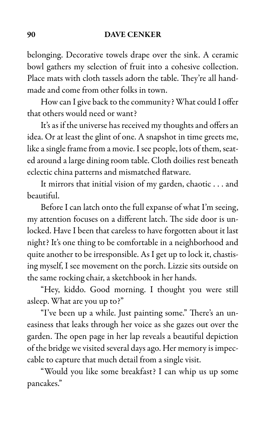belonging. Decorative towels drape over the sink. A ceramic bowl gathers my selection of fruit into a cohesive collection. Place mats with cloth tassels adorn the table. They're all handmade and come from other folks in town.

How can I give back to the community? What could I offer that others would need or want?

It's as if the universe has received my thoughts and offers an idea. Or at least the glint of one. A snapshot in time greets me, like a single frame from a movie. I see people, lots of them, seated around a large dining room table. Cloth doilies rest beneath eclectic china patterns and mismatched flatware.

It mirrors that initial vision of my garden, chaotic . . . and beautiful.

Before I can latch onto the full expanse of what I'm seeing, my attention focuses on a different latch. The side door is unlocked. Have I been that careless to have forgotten about it last night? It's one thing to be comfortable in a neighborhood and quite another to be irresponsible. As I get up to lock it, chastising myself, I see movement on the porch. Lizzie sits outside on the same rocking chair, a sketchbook in her hands.

"Hey, kiddo. Good morning. I thought you were still asleep. What are you up to?"

"I've been up a while. Just painting some." There's an uneasiness that leaks through her voice as she gazes out over the garden. The open page in her lap reveals a beautiful depiction of the bridge we visited several days ago. Her memory is impeccable to capture that much detail from a single visit.

"Would you like some breakfast? I can whip us up some pancakes."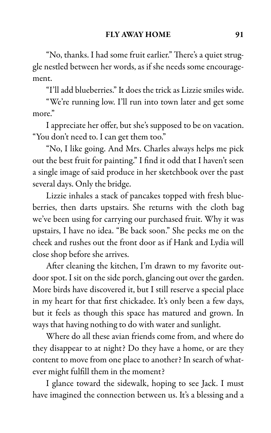"No, thanks. I had some fruit earlier." There's a quiet struggle nestled between her words, as if she needs some encouragement.

"I'll add blueberries." It does the trick as Lizzie smiles wide.

"We're running low. I'll run into town later and get some more."

I appreciate her offer, but she's supposed to be on vacation. "You don't need to. I can get them too."

"No, I like going. And Mrs. Charles always helps me pick out the best fruit for painting." I find it odd that I haven't seen a single image of said produce in her sketchbook over the past several days. Only the bridge.

Lizzie inhales a stack of pancakes topped with fresh blueberries, then darts upstairs. She returns with the cloth bag we've been using for carrying our purchased fruit. Why it was upstairs, I have no idea. "Be back soon." She pecks me on the cheek and rushes out the front door as if Hank and Lydia will close shop before she arrives.

After cleaning the kitchen, I'm drawn to my favorite outdoor spot. I sit on the side porch, glancing out over the garden. More birds have discovered it, but I still reserve a special place in my heart for that first chickadee. It's only been a few days, but it feels as though this space has matured and grown. In ways that having nothing to do with water and sunlight.

Where do all these avian friends come from, and where do they disappear to at night? Do they have a home, or are they content to move from one place to another? In search of whatever might fulfill them in the moment?

I glance toward the sidewalk, hoping to see Jack. I must have imagined the connection between us. It's a blessing and a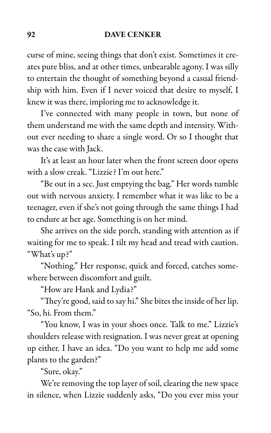curse of mine, seeing things that don't exist. Sometimes it creates pure bliss, and at other times, unbearable agony. I was silly to entertain the thought of something beyond a casual friendship with him. Even if I never voiced that desire to myself, I knew it was there, imploring me to acknowledge it.

I've connected with many people in town, but none of them understand me with the same depth and intensity. Without ever needing to share a single word. Or so I thought that was the case with Jack.

It's at least an hour later when the front screen door opens with a slow creak. "Lizzie? I'm out here."

"Be out in a sec. Just emptying the bag." Her words tumble out with nervous anxiety. I remember what it was like to be a teenager, even if she's not going through the same things I had to endure at her age. Something is on her mind.

She arrives on the side porch, standing with attention as if waiting for me to speak. I tilt my head and tread with caution. "What's up?"

"Nothing." Her response, quick and forced, catches somewhere between discomfort and guilt.

"How are Hank and Lydia?"

"They're good, said to say hi." She bites the inside of her lip. "So, hi. From them."

"You know, I was in your shoes once. Talk to me." Lizzie's shoulders release with resignation. I was never great at opening up either. I have an idea. "Do you want to help me add some plants to the garden?"

"Sure, okay."

We're removing the top layer of soil, clearing the new space in silence, when Lizzie suddenly asks, "Do you ever miss your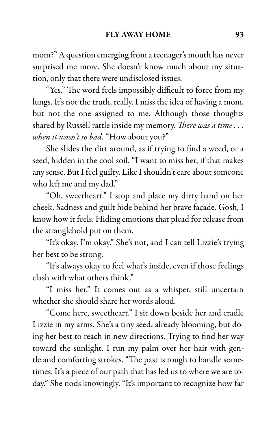mom?" A question emerging from a teenager's mouth has never surprised me more. She doesn't know much about my situation, only that there were undisclosed issues.

"Yes." The word feels impossibly difficult to force from my lungs. It's not the truth, really. I miss the idea of having a mom, but not the one assigned to me. Although those thoughts shared by Russell rattle inside my memory. There was a time . . . when it wasn't so bad. "How about you?"

She slides the dirt around, as if trying to find a weed, or a seed, hidden in the cool soil. "I want to miss her, if that makes any sense. But I feel guilty. Like I shouldn't care about someone who left me and my dad."

"Oh, sweetheart." I stop and place my dirty hand on her cheek. Sadness and guilt hide behind her brave facade. Gosh, I know how it feels. Hiding emotions that plead for release from the stranglehold put on them.

"It's okay. I'm okay." She's not, and I can tell Lizzie's trying her best to be strong.

"It's always okay to feel what's inside, even if those feelings clash with what others think."

"I miss her." It comes out as a whisper, still uncertain whether she should share her words aloud.

"Come here, sweetheart." I sit down beside her and cradle Lizzie in my arms. She's a tiny seed, already blooming, but doing her best to reach in new directions. Trying to find her way toward the sunlight. I run my palm over her hair with gentle and comforting strokes. "The past is tough to handle sometimes. It's a piece of our path that has led us to where we are today." She nods knowingly. "It's important to recognize how far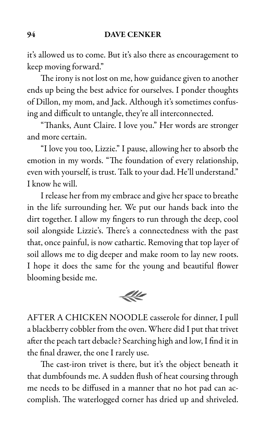it's allowed us to come. But it's also there as encouragement to keep moving forward."

The irony is not lost on me, how guidance given to another ends up being the best advice for ourselves. I ponder thoughts of Dillon, my mom, and Jack. Although it's sometimes confusing and difficult to untangle, they're all interconnected.

"Thanks, Aunt Claire. I love you." Her words are stronger and more certain.

"I love you too, Lizzie." I pause, allowing her to absorb the emotion in my words. "The foundation of every relationship, even with yourself, is trust. Talk to your dad. He'll understand." I know he will.

I release her from my embrace and give her space to breathe in the life surrounding her. We put our hands back into the dirt together. I allow my fingers to run through the deep, cool soil alongside Lizzie's. There's a connectedness with the past that, once painful, is now cathartic. Removing that top layer of soil allows me to dig deeper and make room to lay new roots. I hope it does the same for the young and beautiful flower blooming beside me.



AFTER A CHICKEN NOODLE casserole for dinner, I pull a blackberry cobbler from the oven. Where did I put that trivet after the peach tart debacle? Searching high and low, I find it in the final drawer, the one I rarely use.

The cast-iron trivet is there, but it's the object beneath it that dumbfounds me. A sudden flush of heat coursing through me needs to be diffused in a manner that no hot pad can accomplish. The waterlogged corner has dried up and shriveled.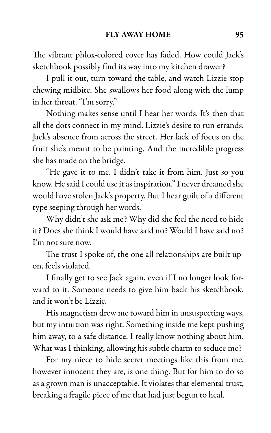The vibrant phlox-colored cover has faded. How could Jack's sketchbook possibly find its way into my kitchen drawer?

I pull it out, turn toward the table, and watch Lizzie stop chewing midbite. She swallows her food along with the lump in her throat. "I'm sorry."

Nothing makes sense until I hear her words. It's then that all the dots connect in my mind. Lizzie's desire to run errands. Jack's absence from across the street. Her lack of focus on the fruit she's meant to be painting. And the incredible progress she has made on the bridge.

"He gave it to me. I didn't take it from him. Just so you know. He said I could use it as inspiration." I never dreamed she would have stolen Jack's property. But I hear guilt of a different type seeping through her words.

Why didn't she ask me? Why did she feel the need to hide it? Does she think I would have said no? Would I have said no? I'm not sure now.

The trust I spoke of, the one all relationships are built upon, feels violated.

I finally get to see Jack again, even if I no longer look forward to it. Someone needs to give him back his sketchbook, and it won't be Lizzie.

His magnetism drew me toward him in unsuspecting ways, but my intuition was right. Something inside me kept pushing him away, to a safe distance. I really know nothing about him. What was I thinking, allowing his subtle charm to seduce me?

For my niece to hide secret meetings like this from me, however innocent they are, is one thing. But for him to do so as a grown man is unacceptable. It violates that elemental trust, breaking a fragile piece of me that had just begun to heal.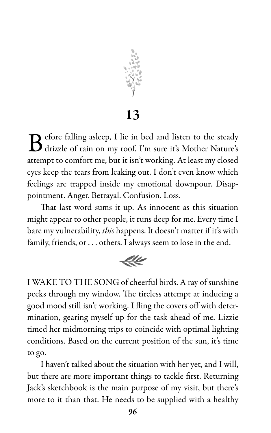

13

B efore falling asleep, I lie in bed and listen to the steady<br>drizzle of rain on my roof. I'm sure it's Mother Nature's  $\mathbf D$  efore falling asleep, I lie in bed and listen to the steady attempt to comfort me, but it isn't working. At least my closed eyes keep the tears from leaking out. I don't even know which feelings are trapped inside my emotional downpour. Disappointment. Anger. Betrayal. Confusion. Loss.

That last word sums it up. As innocent as this situation might appear to other people, it runs deep for me. Every time I bare my vulnerability, this happens. It doesn't matter if it's with family, friends, or . . . others. I always seem to lose in the end.



I WAKE TO THE SONG of cheerful birds. A ray of sunshine peeks through my window. The tireless attempt at inducing a good mood still isn't working. I fling the covers off with determination, gearing myself up for the task ahead of me. Lizzie timed her midmorning trips to coincide with optimal lighting conditions. Based on the current position of the sun, it's time to go.

I haven't talked about the situation with her yet, and I will, but there are more important things to tackle first. Returning Jack's sketchbook is the main purpose of my visit, but there's more to it than that. He needs to be supplied with a healthy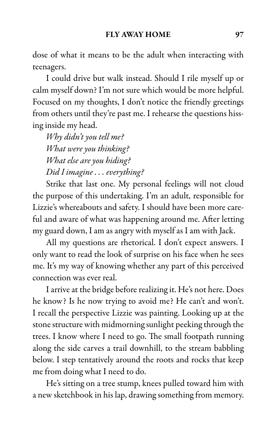dose of what it means to be the adult when interacting with teenagers.

I could drive but walk instead. Should I rile myself up or calm myself down? I'm not sure which would be more helpful. Focused on my thoughts, I don't notice the friendly greetings from others until they're past me. I rehearse the questions hissing inside my head.

Why didn't you tell me? What were you thinking? What else are you hiding? Did I imagine . . . everything?

Strike that last one. My personal feelings will not cloud the purpose of this undertaking. I'm an adult, responsible for Lizzie's whereabouts and safety. I should have been more careful and aware of what was happening around me. After letting my guard down, I am as angry with myself as I am with Jack.

All my questions are rhetorical. I don't expect answers. I only want to read the look of surprise on his face when he sees me. It's my way of knowing whether any part of this perceived connection was ever real.

I arrive at the bridge before realizing it. He's not here. Does he know? Is he now trying to avoid me? He can't and won't. I recall the perspective Lizzie was painting. Looking up at the stone structure with midmorning sunlight peeking through the trees. I know where I need to go. The small footpath running along the side carves a trail downhill, to the stream babbling below. I step tentatively around the roots and rocks that keep me from doing what I need to do.

He's sitting on a tree stump, knees pulled toward him with a new sketchbook in his lap, drawing something from memory.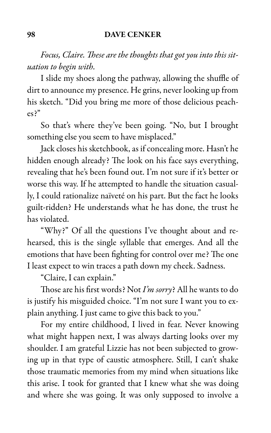Focus, Claire. These are the thoughts that got you into this situation to begin with.

I slide my shoes along the pathway, allowing the shuffle of dirt to announce my presence. He grins, never looking up from his sketch. "Did you bring me more of those delicious peaches?"

So that's where they've been going. "No, but I brought something else you seem to have misplaced."

Jack closes his sketchbook, as if concealing more. Hasn't he hidden enough already? The look on his face says everything, revealing that he's been found out. I'm not sure if it's better or worse this way. If he attempted to handle the situation casually, I could rationalize naïveté on his part. But the fact he looks guilt-ridden? He understands what he has done, the trust he has violated.

"Why?" Of all the questions I've thought about and rehearsed, this is the single syllable that emerges. And all the emotions that have been fighting for control over me? The one I least expect to win traces a path down my cheek. Sadness.

"Claire, I can explain."

Those are his first words? Not I'm sorry? All he wants to do is justify his misguided choice. "I'm not sure I want you to explain anything. I just came to give this back to you."

For my entire childhood, I lived in fear. Never knowing what might happen next, I was always darting looks over my shoulder. I am grateful Lizzie has not been subjected to growing up in that type of caustic atmosphere. Still, I can't shake those traumatic memories from my mind when situations like this arise. I took for granted that I knew what she was doing and where she was going. It was only supposed to involve a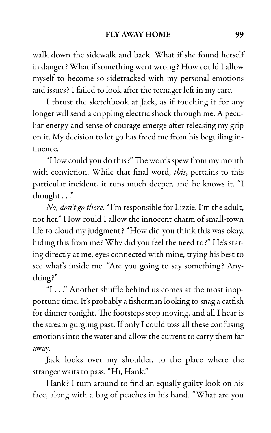walk down the sidewalk and back. What if she found herself in danger? What if something went wrong? How could I allow myself to become so sidetracked with my personal emotions and issues? I failed to look after the teenager left in my care.

I thrust the sketchbook at Jack, as if touching it for any longer will send a crippling electric shock through me. A peculiar energy and sense of courage emerge after releasing my grip on it. My decision to let go has freed me from his beguiling influence.

"How could you do this?" The words spew from my mouth with conviction. While that final word, this, pertains to this particular incident, it runs much deeper, and he knows it. "I thought . . ."

No, don't go there. "I'm responsible for Lizzie. I'm the adult, not her." How could I allow the innocent charm of small-town life to cloud my judgment? "How did you think this was okay, hiding this from me? Why did you feel the need to?" He's staring directly at me, eyes connected with mine, trying his best to see what's inside me. "Are you going to say something? Anything?"

"I . . ." Another shuffle behind us comes at the most inopportune time. It's probably a fisherman looking to snag a catfish for dinner tonight. The footsteps stop moving, and all I hear is the stream gurgling past. If only I could toss all these confusing emotions into the water and allow the current to carry them far away.

Jack looks over my shoulder, to the place where the stranger waits to pass. "Hi, Hank."

Hank? I turn around to find an equally guilty look on his face, along with a bag of peaches in his hand. "What are you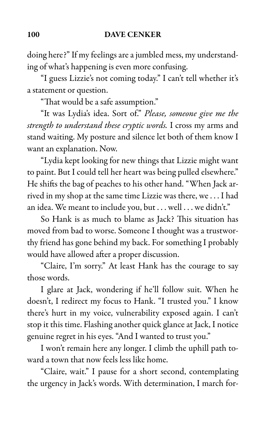doing here?" If my feelings are a jumbled mess, my understanding of what's happening is even more confusing.

"I guess Lizzie's not coming today." I can't tell whether it's a statement or question.

"That would be a safe assumption."

"It was Lydia's idea. Sort of." Please, someone give me the strength to understand these cryptic words. I cross my arms and stand waiting. My posture and silence let both of them know I want an explanation. Now.

"Lydia kept looking for new things that Lizzie might want to paint. But I could tell her heart was being pulled elsewhere." He shifts the bag of peaches to his other hand. "When Jack arrived in my shop at the same time Lizzie was there, we . . . I had an idea. We meant to include you, but . . . well . . . we didn't."

So Hank is as much to blame as Jack? This situation has moved from bad to worse. Someone I thought was a trustworthy friend has gone behind my back. For something I probably would have allowed after a proper discussion.

"Claire, I'm sorry." At least Hank has the courage to say those words.

I glare at Jack, wondering if he'll follow suit. When he doesn't, I redirect my focus to Hank. "I trusted you." I know there's hurt in my voice, vulnerability exposed again. I can't stop it this time. Flashing another quick glance at Jack, I notice genuine regret in his eyes. "And I wanted to trust you."

I won't remain here any longer. I climb the uphill path toward a town that now feels less like home.

"Claire, wait." I pause for a short second, contemplating the urgency in Jack's words. With determination, I march for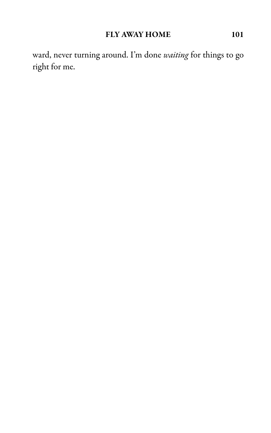ward, never turning around. I'm done waiting for things to go right for me.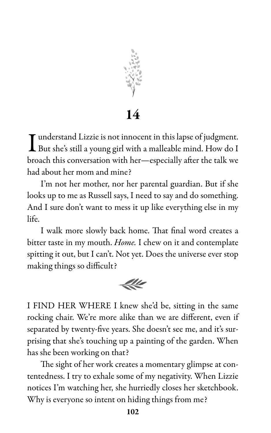

14

I But she's still a young girl with a malleable mind. How do I If understand Lizzie is not innocent in this lapse of judgment. broach this conversation with her—especially after the talk we had about her mom and mine?

I'm not her mother, nor her parental guardian. But if she looks up to me as Russell says, I need to say and do something. And I sure don't want to mess it up like everything else in my life.

I walk more slowly back home. That final word creates a bitter taste in my mouth. Home. I chew on it and contemplate spitting it out, but I can't. Not yet. Does the universe ever stop making things so difficult?



I FIND HER WHERE I knew she'd be, sitting in the same rocking chair. We're more alike than we are different, even if separated by twenty-five years. She doesn't see me, and it's surprising that she's touching up a painting of the garden. When has she been working on that?

The sight of her work creates a momentary glimpse at contentedness. I try to exhale some of my negativity. When Lizzie notices I'm watching her, she hurriedly closes her sketchbook. Why is everyone so intent on hiding things from me?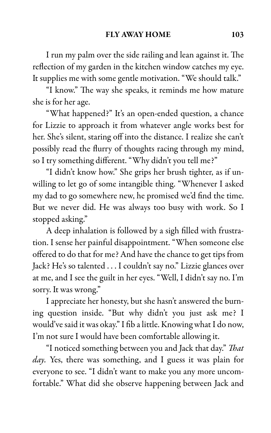I run my palm over the side railing and lean against it. The reflection of my garden in the kitchen window catches my eye. It supplies me with some gentle motivation. "We should talk."

"I know." The way she speaks, it reminds me how mature she is for her age.

"What happened?" It's an open-ended question, a chance for Lizzie to approach it from whatever angle works best for her. She's silent, staring off into the distance. I realize she can't possibly read the flurry of thoughts racing through my mind, so I try something different. "Why didn't you tell me?"

"I didn't know how." She grips her brush tighter, as if unwilling to let go of some intangible thing. "Whenever I asked my dad to go somewhere new, he promised we'd find the time. But we never did. He was always too busy with work. So I stopped asking."

A deep inhalation is followed by a sigh filled with frustration. I sense her painful disappointment. "When someone else offered to do that for me? And have the chance to get tips from Jack? He's so talented . . . I couldn't say no." Lizzie glances over at me, and I see the guilt in her eyes. "Well, I didn't say no. I'm sorry. It was wrong."

I appreciate her honesty, but she hasn't answered the burning question inside. "But why didn't you just ask me? I would've said it was okay." I fib a little. Knowing what I do now, I'm not sure I would have been comfortable allowing it.

"I noticed something between you and Jack that day." That day. Yes, there was something, and I guess it was plain for everyone to see. "I didn't want to make you any more uncomfortable." What did she observe happening between Jack and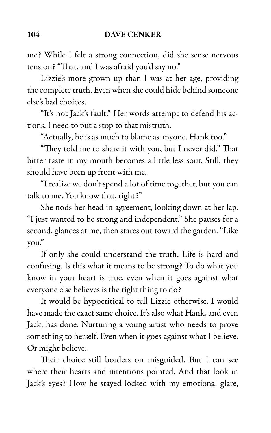me? While I felt a strong connection, did she sense nervous tension? "That, and I was afraid you'd say no."

Lizzie's more grown up than I was at her age, providing the complete truth. Even when she could hide behind someone else's bad choices.

"It's not Jack's fault." Her words attempt to defend his actions. I need to put a stop to that mistruth.

"Actually, he is as much to blame as anyone. Hank too."

"They told me to share it with you, but I never did." That bitter taste in my mouth becomes a little less sour. Still, they should have been up front with me.

"I realize we don't spend a lot of time together, but you can talk to me. You know that, right?"

She nods her head in agreement, looking down at her lap. "I just wanted to be strong and independent." She pauses for a second, glances at me, then stares out toward the garden. "Like you."

If only she could understand the truth. Life is hard and confusing. Is this what it means to be strong? To do what you know in your heart is true, even when it goes against what everyone else believes is the right thing to do?

It would be hypocritical to tell Lizzie otherwise. I would have made the exact same choice. It's also what Hank, and even Jack, has done. Nurturing a young artist who needs to prove something to herself. Even when it goes against what I believe. Or might believe.

Their choice still borders on misguided. But I can see where their hearts and intentions pointed. And that look in Jack's eyes? How he stayed locked with my emotional glare,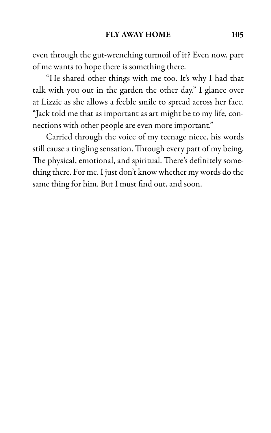even through the gut-wrenching turmoil of it? Even now, part of me wants to hope there is something there.

"He shared other things with me too. It's why I had that talk with you out in the garden the other day." I glance over at Lizzie as she allows a feeble smile to spread across her face. "Jack told me that as important as art might be to my life, connections with other people are even more important."

Carried through the voice of my teenage niece, his words still cause a tingling sensation. Through every part of my being. The physical, emotional, and spiritual. There's definitely something there. For me. I just don't know whether my words do the same thing for him. But I must find out, and soon.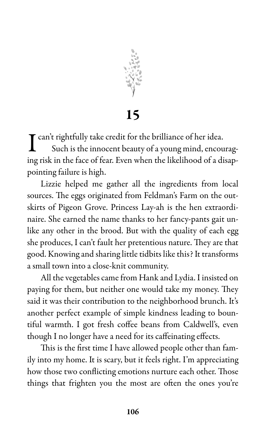

15

I can't rightfully take credit for the brilliance of her idea.<br>Such is the innocent beauty of a young mind, encou Such is the innocent beauty of a young mind, encouraging risk in the face of fear. Even when the likelihood of a disappointing failure is high.

Lizzie helped me gather all the ingredients from local sources. The eggs originated from Feldman's Farm on the outskirts of Pigeon Grove. Princess Lay-ah is the hen extraordinaire. She earned the name thanks to her fancy-pants gait unlike any other in the brood. But with the quality of each egg she produces, I can't fault her pretentious nature. They are that good. Knowing and sharing little tidbits like this? It transforms a small town into a close-knit community.

All the vegetables came from Hank and Lydia. I insisted on paying for them, but neither one would take my money. They said it was their contribution to the neighborhood brunch. It's another perfect example of simple kindness leading to bountiful warmth. I got fresh coffee beans from Caldwell's, even though I no longer have a need for its caffeinating effects.

This is the first time I have allowed people other than family into my home. It is scary, but it feels right. I'm appreciating how those two conflicting emotions nurture each other. Those things that frighten you the most are often the ones you're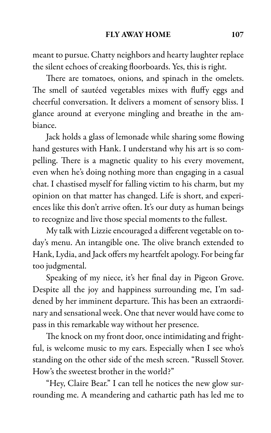meant to pursue. Chatty neighbors and hearty laughter replace the silent echoes of creaking floorboards. Yes, this is right.

There are tomatoes, onions, and spinach in the omelets. The smell of sautéed vegetables mixes with fluffy eggs and cheerful conversation. It delivers a moment of sensory bliss. I glance around at everyone mingling and breathe in the ambiance.

Jack holds a glass of lemonade while sharing some flowing hand gestures with Hank. I understand why his art is so compelling. There is a magnetic quality to his every movement, even when he's doing nothing more than engaging in a casual chat. I chastised myself for falling victim to his charm, but my opinion on that matter has changed. Life is short, and experiences like this don't arrive often. It's our duty as human beings to recognize and live those special moments to the fullest.

My talk with Lizzie encouraged a different vegetable on today's menu. An intangible one. The olive branch extended to Hank, Lydia, and Jack offers my heartfelt apology. For being far too judgmental.

Speaking of my niece, it's her final day in Pigeon Grove. Despite all the joy and happiness surrounding me, I'm saddened by her imminent departure. This has been an extraordinary and sensational week. One that never would have come to pass in this remarkable way without her presence.

The knock on my front door, once intimidating and frightful, is welcome music to my ears. Especially when I see who's standing on the other side of the mesh screen. "Russell Stover. How's the sweetest brother in the world?"

"Hey, Claire Bear." I can tell he notices the new glow surrounding me. A meandering and cathartic path has led me to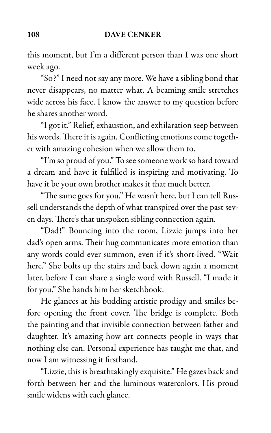this moment, but I'm a different person than I was one short week ago.

"So?" I need not say any more. We have a sibling bond that never disappears, no matter what. A beaming smile stretches wide across his face. I know the answer to my question before he shares another word.

"I got it." Relief, exhaustion, and exhilaration seep between his words. There it is again. Conflicting emotions come together with amazing cohesion when we allow them to.

"I'm so proud of you." To see someone work so hard toward a dream and have it fulfilled is inspiring and motivating. To have it be your own brother makes it that much better.

"The same goes for you." He wasn't here, but I can tell Russell understands the depth of what transpired over the past seven days. There's that unspoken sibling connection again.

"Dad!" Bouncing into the room, Lizzie jumps into her dad's open arms. Their hug communicates more emotion than any words could ever summon, even if it's short-lived. "Wait here." She bolts up the stairs and back down again a moment later, before I can share a single word with Russell. "I made it for you." She hands him her sketchbook.

He glances at his budding artistic prodigy and smiles before opening the front cover. The bridge is complete. Both the painting and that invisible connection between father and daughter. It's amazing how art connects people in ways that nothing else can. Personal experience has taught me that, and now I am witnessing it firsthand.

"Lizzie, this is breathtakingly exquisite." He gazes back and forth between her and the luminous watercolors. His proud smile widens with each glance.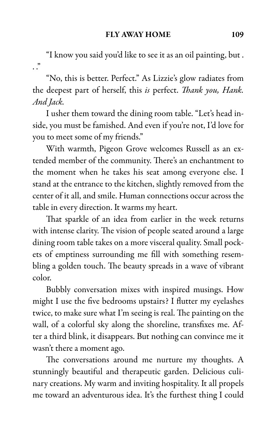"I know you said you'd like to see it as an oil painting, but .  $\cdot$  .  $\cdot$ 

"No, this is better. Perfect." As Lizzie's glow radiates from the deepest part of herself, this is perfect. Thank you, Hank. And Jack.

I usher them toward the dining room table. "Let's head inside, you must be famished. And even if you're not, I'd love for you to meet some of my friends."

With warmth, Pigeon Grove welcomes Russell as an extended member of the community. There's an enchantment to the moment when he takes his seat among everyone else. I stand at the entrance to the kitchen, slightly removed from the center of it all, and smile. Human connections occur across the table in every direction. It warms my heart.

That sparkle of an idea from earlier in the week returns with intense clarity. The vision of people seated around a large dining room table takes on a more visceral quality. Small pockets of emptiness surrounding me fill with something resembling a golden touch. The beauty spreads in a wave of vibrant color.

Bubbly conversation mixes with inspired musings. How might I use the five bedrooms upstairs? I flutter my eyelashes twice, to make sure what I'm seeing is real. The painting on the wall, of a colorful sky along the shoreline, transfixes me. After a third blink, it disappears. But nothing can convince me it wasn't there a moment ago.

The conversations around me nurture my thoughts. A stunningly beautiful and therapeutic garden. Delicious culinary creations. My warm and inviting hospitality. It all propels me toward an adventurous idea. It's the furthest thing I could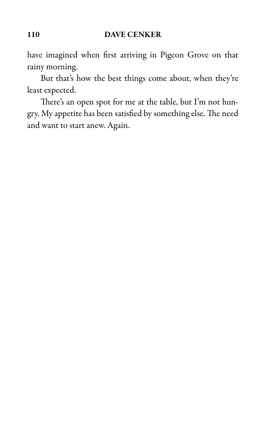have imagined when first arriving in Pigeon Grove on that rainy morning.

But that's how the best things come about, when they're least expected.

There's an open spot for me at the table, but I'm not hungry. My appetite has been satisfied by something else. The need and want to start anew. Again.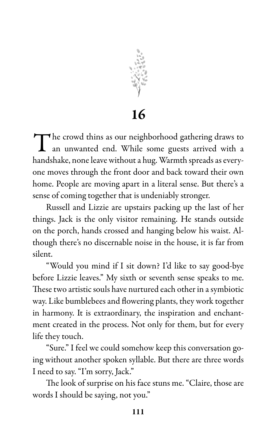

16

The crowd thins as our neighborhood gathering draws to an unwanted end. While some guests arrived with a an unwanted end. While some guests arrived with a handshake, none leave without a hug. Warmth spreads as everyone moves through the front door and back toward their own home. People are moving apart in a literal sense. But there's a sense of coming together that is undeniably stronger.

Russell and Lizzie are upstairs packing up the last of her things. Jack is the only visitor remaining. He stands outside on the porch, hands crossed and hanging below his waist. Although there's no discernable noise in the house, it is far from silent.

"Would you mind if I sit down? I'd like to say good-bye before Lizzie leaves." My sixth or seventh sense speaks to me. These two artistic souls have nurtured each other in a symbiotic way. Like bumblebees and flowering plants, they work together in harmony. It is extraordinary, the inspiration and enchantment created in the process. Not only for them, but for every life they touch.

"Sure." I feel we could somehow keep this conversation going without another spoken syllable. But there are three words I need to say. "I'm sorry, Jack."

The look of surprise on his face stuns me. "Claire, those are words I should be saying, not you."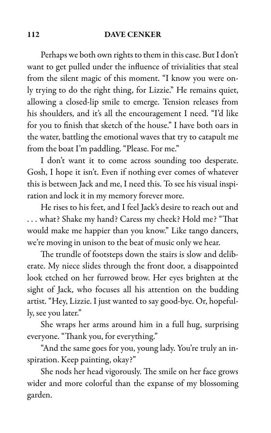Perhaps we both own rights to them in this case. But I don't want to get pulled under the influence of trivialities that steal from the silent magic of this moment. "I know you were only trying to do the right thing, for Lizzie." He remains quiet, allowing a closed-lip smile to emerge. Tension releases from his shoulders, and it's all the encouragement I need. "I'd like for you to finish that sketch of the house." I have both oars in the water, battling the emotional waves that try to catapult me from the boat I'm paddling. "Please. For me."

I don't want it to come across sounding too desperate. Gosh, I hope it isn't. Even if nothing ever comes of whatever this is between Jack and me, I need this. To see his visual inspiration and lock it in my memory forever more.

He rises to his feet, and I feel Jack's desire to reach out and . . . what? Shake my hand? Caress my cheek? Hold me? "That would make me happier than you know." Like tango dancers, we're moving in unison to the beat of music only we hear.

The trundle of footsteps down the stairs is slow and deliberate. My niece slides through the front door, a disappointed look etched on her furrowed brow. Her eyes brighten at the sight of Jack, who focuses all his attention on the budding artist. "Hey, Lizzie. I just wanted to say good-bye. Or, hopefully, see you later."

She wraps her arms around him in a full hug, surprising everyone. "Thank you, for everything."

"And the same goes for you, young lady. You're truly an inspiration. Keep painting, okay?"

She nods her head vigorously. The smile on her face grows wider and more colorful than the expanse of my blossoming garden.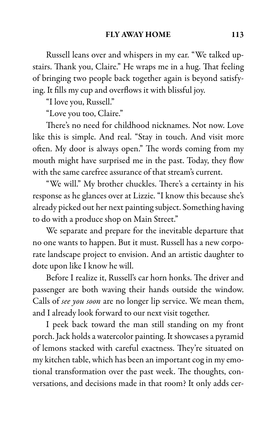Russell leans over and whispers in my ear. "We talked upstairs. Thank you, Claire." He wraps me in a hug. That feeling of bringing two people back together again is beyond satisfying. It fills my cup and overflows it with blissful joy.

"I love you, Russell."

"Love you too, Claire."

There's no need for childhood nicknames. Not now. Love like this is simple. And real. "Stay in touch. And visit more often. My door is always open." The words coming from my mouth might have surprised me in the past. Today, they flow with the same carefree assurance of that stream's current.

"We will." My brother chuckles. There's a certainty in his response as he glances over at Lizzie. "I know this because she's already picked out her next painting subject. Something having to do with a produce shop on Main Street."

We separate and prepare for the inevitable departure that no one wants to happen. But it must. Russell has a new corporate landscape project to envision. And an artistic daughter to dote upon like I know he will.

Before I realize it, Russell's car horn honks. The driver and passenger are both waving their hands outside the window. Calls of see you soon are no longer lip service. We mean them, and I already look forward to our next visit together.

I peek back toward the man still standing on my front porch. Jack holds a watercolor painting. It showcases a pyramid of lemons stacked with careful exactness. They're situated on my kitchen table, which has been an important cog in my emotional transformation over the past week. The thoughts, conversations, and decisions made in that room? It only adds cer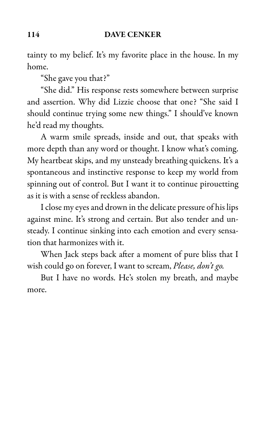tainty to my belief. It's my favorite place in the house. In my home.

"She gave you that?"

"She did." His response rests somewhere between surprise and assertion. Why did Lizzie choose that one? "She said I should continue trying some new things." I should've known he'd read my thoughts.

A warm smile spreads, inside and out, that speaks with more depth than any word or thought. I know what's coming. My heartbeat skips, and my unsteady breathing quickens. It's a spontaneous and instinctive response to keep my world from spinning out of control. But I want it to continue pirouetting as it is with a sense of reckless abandon.

I close my eyes and drown in the delicate pressure of his lips against mine. It's strong and certain. But also tender and unsteady. I continue sinking into each emotion and every sensation that harmonizes with it.

When Jack steps back after a moment of pure bliss that I wish could go on forever, I want to scream, Please, don't go.

But I have no words. He's stolen my breath, and maybe more.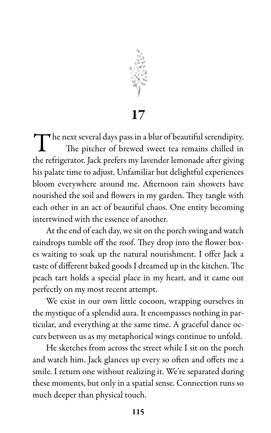

17

The next several days pass in a blur of beautiful serendipity.<br>The pitcher of brewed sweet tea remains chilled in The pitcher of brewed sweet tea remains chilled in the refrigerator. Jack prefers my lavender lemonade after giving his palate time to adjust. Unfamiliar but delightful experiences bloom everywhere around me. Afternoon rain showers have nourished the soil and flowers in my garden. They tangle with each other in an act of beautiful chaos. One entity becoming intertwined with the essence of another.

At the end of each day, we sit on the porch swing and watch raindrops tumble off the roof. They drop into the flower boxes waiting to soak up the natural nourishment. I offer Jack a taste of different baked goods I dreamed up in the kitchen. The peach tart holds a special place in my heart, and it came out perfectly on my most recent attempt.

We exist in our own little cocoon, wrapping ourselves in the mystique of a splendid aura. It encompasses nothing in particular, and everything at the same time. A graceful dance occurs between us as my metaphorical wings continue to unfold.

He sketches from across the street while I sit on the porch and watch him. Jack glances up every so often and offers me a smile. I return one without realizing it. We're separated during these moments, but only in a spatial sense. Connection runs so much deeper than physical touch.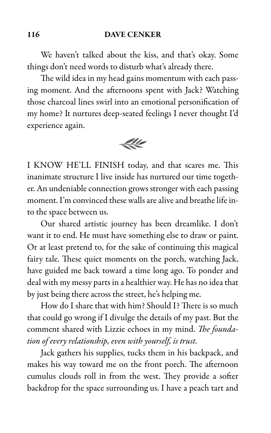We haven't talked about the kiss, and that's okay. Some things don't need words to disturb what's already there.

The wild idea in my head gains momentum with each passing moment. And the afternoons spent with Jack? Watching those charcoal lines swirl into an emotional personification of my home? It nurtures deep-seated feelings I never thought I'd experience again.



I KNOW HE'LL FINISH today, and that scares me. This inanimate structure I live inside has nurtured our time together. An undeniable connection grows stronger with each passing moment. I'm convinced these walls are alive and breathe life into the space between us.

Our shared artistic journey has been dreamlike. I don't want it to end. He must have something else to draw or paint. Or at least pretend to, for the sake of continuing this magical fairy tale. These quiet moments on the porch, watching Jack, have guided me back toward a time long ago. To ponder and deal with my messy parts in a healthier way. He has no idea that by just being there across the street, he's helping me.

How do I share that with him? Should I? There is so much that could go wrong if I divulge the details of my past. But the comment shared with Lizzie echoes in my mind. The foundation of every relationship, even with yourself, is trust.

Jack gathers his supplies, tucks them in his backpack, and makes his way toward me on the front porch. The afternoon cumulus clouds roll in from the west. They provide a softer backdrop for the space surrounding us. I have a peach tart and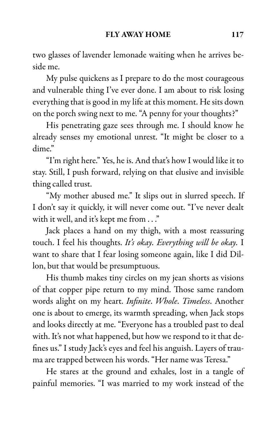two glasses of lavender lemonade waiting when he arrives beside me.

My pulse quickens as I prepare to do the most courageous and vulnerable thing I've ever done. I am about to risk losing everything that is good in my life at this moment. He sits down on the porch swing next to me. "A penny for your thoughts?"

His penetrating gaze sees through me. I should know he already senses my emotional unrest. "It might be closer to a dime."

"I'm right here." Yes, he is. And that's how I would like it to stay. Still, I push forward, relying on that elusive and invisible thing called trust.

"My mother abused me." It slips out in slurred speech. If I don't say it quickly, it will never come out. "I've never dealt with it well, and it's kept me from . . ."

Jack places a hand on my thigh, with a most reassuring touch. I feel his thoughts. It's okay. Everything will be okay. I want to share that I fear losing someone again, like I did Dillon, but that would be presumptuous.

His thumb makes tiny circles on my jean shorts as visions of that copper pipe return to my mind. Those same random words alight on my heart. Infinite. Whole. Timeless. Another one is about to emerge, its warmth spreading, when Jack stops and looks directly at me. "Everyone has a troubled past to deal with. It's not what happened, but how we respond to it that defines us." I study Jack's eyes and feel his anguish. Layers of trauma are trapped between his words. "Her name was Teresa."

He stares at the ground and exhales, lost in a tangle of painful memories. "I was married to my work instead of the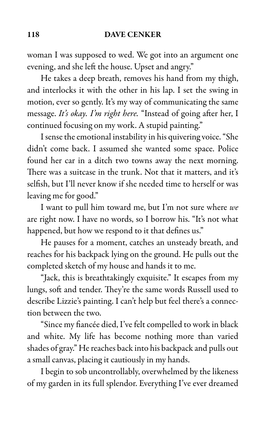woman I was supposed to wed. We got into an argument one evening, and she left the house. Upset and angry."

He takes a deep breath, removes his hand from my thigh, and interlocks it with the other in his lap. I set the swing in motion, ever so gently. It's my way of communicating the same message. It's okay. I'm right here. "Instead of going after her, I continued focusing on my work. A stupid painting."

I sense the emotional instability in his quivering voice. "She didn't come back. I assumed she wanted some space. Police found her car in a ditch two towns away the next morning. There was a suitcase in the trunk. Not that it matters, and it's selfish, but I'll never know if she needed time to herself or was leaving me for good."

I want to pull him toward me, but I'm not sure where we are right now. I have no words, so I borrow his. "It's not what happened, but how we respond to it that defines us."

He pauses for a moment, catches an unsteady breath, and reaches for his backpack lying on the ground. He pulls out the completed sketch of my house and hands it to me.

"Jack, this is breathtakingly exquisite." It escapes from my lungs, soft and tender. They're the same words Russell used to describe Lizzie's painting. I can't help but feel there's a connection between the two.

"Since my fiancée died, I've felt compelled to work in black and white. My life has become nothing more than varied shades of gray." He reaches back into his backpack and pulls out a small canvas, placing it cautiously in my hands.

I begin to sob uncontrollably, overwhelmed by the likeness of my garden in its full splendor. Everything I've ever dreamed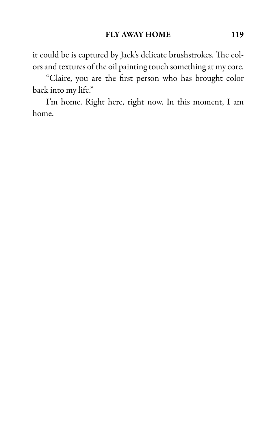it could be is captured by Jack's delicate brushstrokes. The colors and textures of the oil painting touch something at my core.

"Claire, you are the first person who has brought color back into my life."

I'm home. Right here, right now. In this moment, I am home.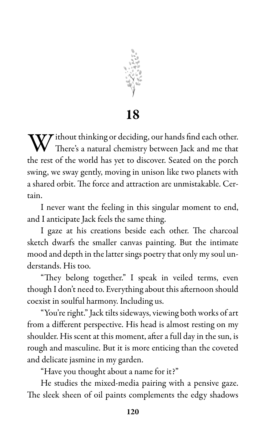

18

Without thinking or deciding, our hands find each other. There's a natural chemistry between Jack and me that the rest of the world has yet to discover. Seated on the porch swing, we sway gently, moving in unison like two planets with a shared orbit. The force and attraction are unmistakable. Certain.

I never want the feeling in this singular moment to end, and I anticipate Jack feels the same thing.

I gaze at his creations beside each other. The charcoal sketch dwarfs the smaller canvas painting. But the intimate mood and depth in the latter sings poetry that only my soul understands. His too.

"They belong together." I speak in veiled terms, even though I don't need to. Everything about this afternoon should coexist in soulful harmony. Including us.

"You're right." Jack tilts sideways, viewing both works of art from a different perspective. His head is almost resting on my shoulder. His scent at this moment, after a full day in the sun, is rough and masculine. But it is more enticing than the coveted and delicate jasmine in my garden.

"Have you thought about a name for it?"

He studies the mixed-media pairing with a pensive gaze. The sleek sheen of oil paints complements the edgy shadows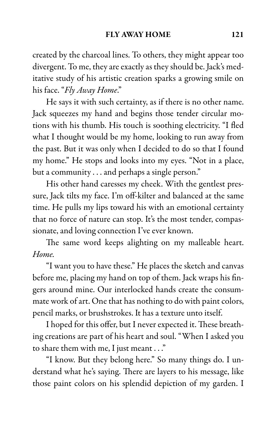created by the charcoal lines. To others, they might appear too divergent. To me, they are exactly as they should be. Jack's meditative study of his artistic creation sparks a growing smile on his face. "Fly Away Home."

He says it with such certainty, as if there is no other name. Jack squeezes my hand and begins those tender circular motions with his thumb. His touch is soothing electricity. "I fled what I thought would be my home, looking to run away from the past. But it was only when I decided to do so that I found my home." He stops and looks into my eyes. "Not in a place, but a community . . . and perhaps a single person."

His other hand caresses my cheek. With the gentlest pressure, Jack tilts my face. I'm off-kilter and balanced at the same time. He pulls my lips toward his with an emotional certainty that no force of nature can stop. It's the most tender, compassionate, and loving connection I've ever known.

The same word keeps alighting on my malleable heart. Home.

"I want you to have these." He places the sketch and canvas before me, placing my hand on top of them. Jack wraps his fingers around mine. Our interlocked hands create the consummate work of art. One that has nothing to do with paint colors, pencil marks, or brushstrokes. It has a texture unto itself.

I hoped for this offer, but I never expected it. These breathing creations are part of his heart and soul. "When I asked you to share them with me, I just meant . . ."

"I know. But they belong here." So many things do. I understand what he's saying. There are layers to his message, like those paint colors on his splendid depiction of my garden. I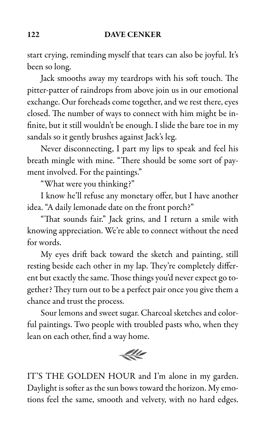start crying, reminding myself that tears can also be joyful. It's been so long.

Jack smooths away my teardrops with his soft touch. The pitter-patter of raindrops from above join us in our emotional exchange. Our foreheads come together, and we rest there, eyes closed. The number of ways to connect with him might be infinite, but it still wouldn't be enough. I slide the bare toe in my sandals so it gently brushes against Jack's leg.

Never disconnecting, I part my lips to speak and feel his breath mingle with mine. "There should be some sort of payment involved. For the paintings."

"What were you thinking?"

I know he'll refuse any monetary offer, but I have another idea. "A daily lemonade date on the front porch?"

"That sounds fair." Jack grins, and I return a smile with knowing appreciation. We're able to connect without the need for words.

My eyes drift back toward the sketch and painting, still resting beside each other in my lap. They're completely different but exactly the same. Those things you'd never expect go together? They turn out to be a perfect pair once you give them a chance and trust the process.

Sour lemons and sweet sugar. Charcoal sketches and colorful paintings. Two people with troubled pasts who, when they lean on each other, find a way home.

 $44$ 

IT'S THE GOLDEN HOUR and I'm alone in my garden. Daylight is softer as the sun bows toward the horizon. My emotions feel the same, smooth and velvety, with no hard edges.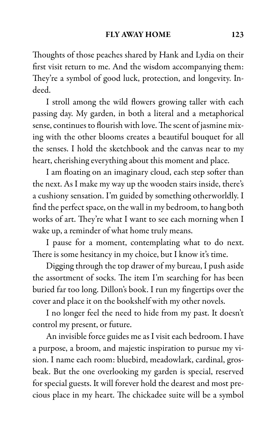Thoughts of those peaches shared by Hank and Lydia on their first visit return to me. And the wisdom accompanying them: They're a symbol of good luck, protection, and longevity. Indeed.

I stroll among the wild flowers growing taller with each passing day. My garden, in both a literal and a metaphorical sense, continues to flourish with love. The scent of jasmine mixing with the other blooms creates a beautiful bouquet for all the senses. I hold the sketchbook and the canvas near to my heart, cherishing everything about this moment and place.

I am floating on an imaginary cloud, each step softer than the next. As I make my way up the wooden stairs inside, there's a cushiony sensation. I'm guided by something otherworldly. I find the perfect space, on the wall in my bedroom, to hang both works of art. They're what I want to see each morning when I wake up, a reminder of what home truly means.

I pause for a moment, contemplating what to do next. There is some hesitancy in my choice, but I know it's time.

Digging through the top drawer of my bureau, I push aside the assortment of socks. The item I'm searching for has been buried far too long. Dillon's book. I run my fingertips over the cover and place it on the bookshelf with my other novels.

I no longer feel the need to hide from my past. It doesn't control my present, or future.

An invisible force guides me as I visit each bedroom. I have a purpose, a broom, and majestic inspiration to pursue my vision. I name each room: bluebird, meadowlark, cardinal, grosbeak. But the one overlooking my garden is special, reserved for special guests. It will forever hold the dearest and most precious place in my heart. The chickadee suite will be a symbol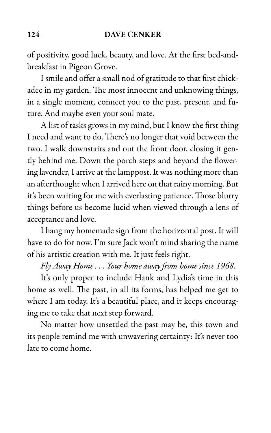of positivity, good luck, beauty, and love. At the first bed-andbreakfast in Pigeon Grove.

I smile and offer a small nod of gratitude to that first chickadee in my garden. The most innocent and unknowing things, in a single moment, connect you to the past, present, and future. And maybe even your soul mate.

A list of tasks grows in my mind, but I know the first thing I need and want to do. There's no longer that void between the two. I walk downstairs and out the front door, closing it gently behind me. Down the porch steps and beyond the flowering lavender, I arrive at the lamppost. It was nothing more than an afterthought when I arrived here on that rainy morning. But it's been waiting for me with everlasting patience. Those blurry things before us become lucid when viewed through a lens of acceptance and love.

I hang my homemade sign from the horizontal post. It will have to do for now. I'm sure Jack won't mind sharing the name of his artistic creation with me. It just feels right.

Fly Away Home . . . Your home away from home since 1968.

It's only proper to include Hank and Lydia's time in this home as well. The past, in all its forms, has helped me get to where I am today. It's a beautiful place, and it keeps encouraging me to take that next step forward.

No matter how unsettled the past may be, this town and its people remind me with unwavering certainty: It's never too late to come home.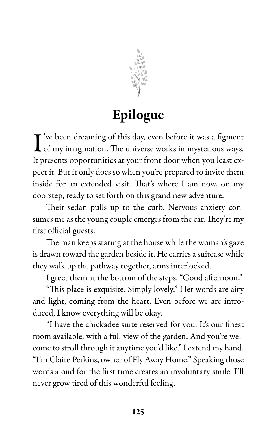

# Epilogue

I ve been dreaming of this day, even before it was a figment of my imagination. The universe works in mysterious ways.  $\mathbf T$ 've been dreaming of this day, even before it was a figment It presents opportunities at your front door when you least expect it. But it only does so when you're prepared to invite them inside for an extended visit. That's where I am now, on my doorstep, ready to set forth on this grand new adventure.

Their sedan pulls up to the curb. Nervous anxiety consumes me as the young couple emerges from the car. They're my first official guests.

The man keeps staring at the house while the woman's gaze is drawn toward the garden beside it. He carries a suitcase while they walk up the pathway together, arms interlocked.

I greet them at the bottom of the steps. "Good afternoon."

"This place is exquisite. Simply lovely." Her words are airy and light, coming from the heart. Even before we are introduced, I know everything will be okay.

"I have the chickadee suite reserved for you. It's our finest room available, with a full view of the garden. And you're welcome to stroll through it anytime you'd like." I extend my hand. "I'm Claire Perkins, owner of Fly Away Home." Speaking those words aloud for the first time creates an involuntary smile. I'll never grow tired of this wonderful feeling.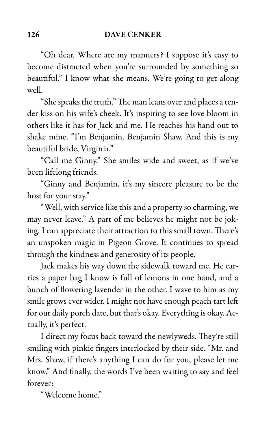"Oh dear. Where are my manners? I suppose it's easy to become distracted when you're surrounded by something so beautiful." I know what she means. We're going to get along well.

"She speaks the truth." The man leans over and places a tender kiss on his wife's cheek. It's inspiring to see love bloom in others like it has for Jack and me. He reaches his hand out to shake mine. "I'm Benjamin. Benjamin Shaw. And this is my beautiful bride, Virginia."

"Call me Ginny." She smiles wide and sweet, as if we've been lifelong friends.

"Ginny and Benjamin, it's my sincere pleasure to be the host for your stay."

"Well, with service like this and a property so charming, we may never leave." A part of me believes he might not be joking. I can appreciate their attraction to this small town. There's an unspoken magic in Pigeon Grove. It continues to spread through the kindness and generosity of its people.

Jack makes his way down the sidewalk toward me. He carries a paper bag I know is full of lemons in one hand, and a bunch of flowering lavender in the other. I wave to him as my smile grows ever wider. I might not have enough peach tart left for our daily porch date, but that's okay. Everything is okay. Actually, it's perfect.

I direct my focus back toward the newlyweds. They're still smiling with pinkie fingers interlocked by their side. "Mr. and Mrs. Shaw, if there's anything I can do for you, please let me know." And finally, the words I've been waiting to say and feel forever:

"Welcome home."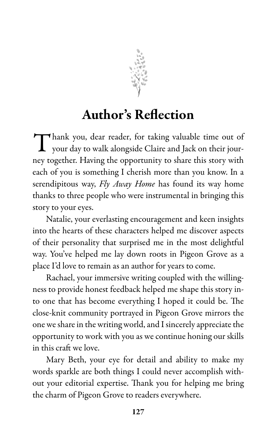

### Author's Reflection

Thank you, dear reader, for taking valuable time out of your day to walk alongside Claire and Jack on their jouryour day to walk alongside Claire and Jack on their journey together. Having the opportunity to share this story with each of you is something I cherish more than you know. In a serendipitous way, Fly Away Home has found its way home thanks to three people who were instrumental in bringing this story to your eyes.

Natalie, your everlasting encouragement and keen insights into the hearts of these characters helped me discover aspects of their personality that surprised me in the most delightful way. You've helped me lay down roots in Pigeon Grove as a place I'd love to remain as an author for years to come.

Rachael, your immersive writing coupled with the willingness to provide honest feedback helped me shape this story into one that has become everything I hoped it could be. The close-knit community portrayed in Pigeon Grove mirrors the one we share in the writing world, and I sincerely appreciate the opportunity to work with you as we continue honing our skills in this craft we love.

Mary Beth, your eye for detail and ability to make my words sparkle are both things I could never accomplish without your editorial expertise. Thank you for helping me bring the charm of Pigeon Grove to readers everywhere.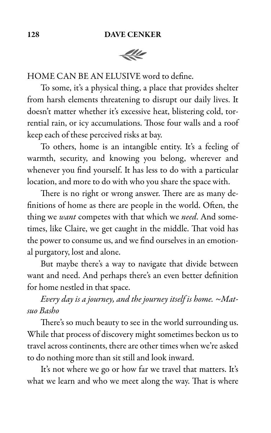

HOME CAN BE AN ELUSIVE word to define.

To some, it's a physical thing, a place that provides shelter from harsh elements threatening to disrupt our daily lives. It doesn't matter whether it's excessive heat, blistering cold, torrential rain, or icy accumulations. Those four walls and a roof keep each of these perceived risks at bay.

To others, home is an intangible entity. It's a feeling of warmth, security, and knowing you belong, wherever and whenever you find yourself. It has less to do with a particular location, and more to do with who you share the space with.

There is no right or wrong answer. There are as many definitions of home as there are people in the world. Often, the thing we want competes with that which we need. And sometimes, like Claire, we get caught in the middle. That void has the power to consume us, and we find ourselves in an emotional purgatory, lost and alone.

But maybe there's a way to navigate that divide between want and need. And perhaps there's an even better definition for home nestled in that space.

Every day is a journey, and the journey itself is home.  $~\sim$ Matsuo Basho

There's so much beauty to see in the world surrounding us. While that process of discovery might sometimes beckon us to travel across continents, there are other times when we're asked to do nothing more than sit still and look inward.

It's not where we go or how far we travel that matters. It's what we learn and who we meet along the way. That is where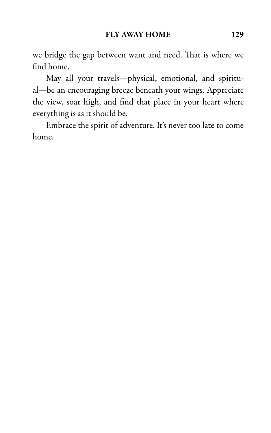we bridge the gap between want and need. That is where we find home.

May all your travels—physical, emotional, and spiritual—be an encouraging breeze beneath your wings. Appreciate the view, soar high, and find that place in your heart where everything is as it should be.

Embrace the spirit of adventure. It's never too late to come home.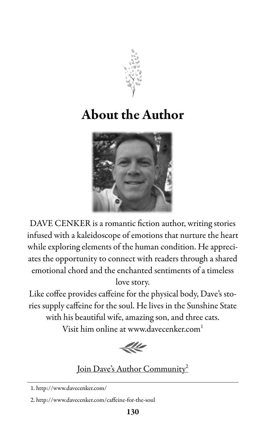

# About the Author



DAVE CENKER is a romantic fiction author, writing stories infused with a kaleidoscope of emotions that nurture the heart while exploring elements of the human condition. He appreciates the opportunity to connect with readers through a shared emotional chord and the enchanted sentiments of a timeless love story.

Like coffee provides caffeine for the physical body, Dave's stories supply caffeine for the soul. He lives in the Sunshine State with his beautiful wife, amazing son, and three cats. Visit him online at www.davecenker.com 1



### Join Dave's Author Community 2

<sup>1.</sup> http://www.davecenker.com/

<sup>2.</sup> http://www.davecenker.com/caffeine-for-the-soul